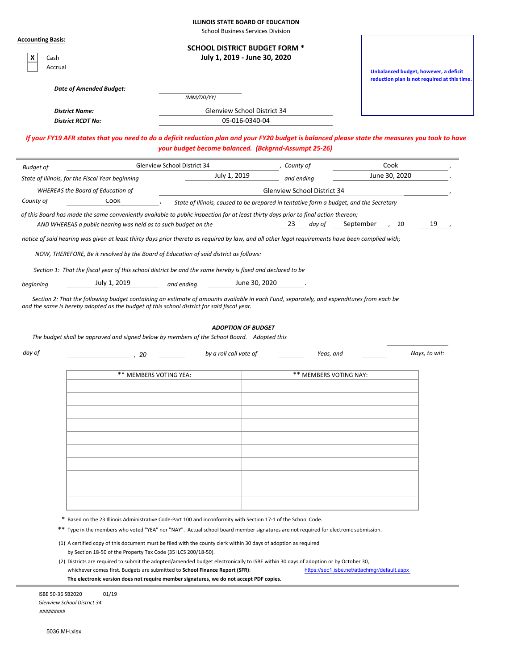|  |  |  |  | <b>ILLINOIS STATE BOARD OF EDUCATION</b> |
|--|--|--|--|------------------------------------------|
|--|--|--|--|------------------------------------------|

School Business Services Division

| <b>Accounting Basis:</b>                                                                                                                                                                                                               |                        |                                                                                                                  |                                            |                                                                                                                                     |                                                                                                                                                  |               |
|----------------------------------------------------------------------------------------------------------------------------------------------------------------------------------------------------------------------------------------|------------------------|------------------------------------------------------------------------------------------------------------------|--------------------------------------------|-------------------------------------------------------------------------------------------------------------------------------------|--------------------------------------------------------------------------------------------------------------------------------------------------|---------------|
|                                                                                                                                                                                                                                        |                        |                                                                                                                  | <b>SCHOOL DISTRICT BUDGET FORM *</b>       |                                                                                                                                     |                                                                                                                                                  |               |
| x<br>Cash                                                                                                                                                                                                                              |                        |                                                                                                                  | July 1, 2019 - June 30, 2020               |                                                                                                                                     |                                                                                                                                                  |               |
| Accrual                                                                                                                                                                                                                                |                        |                                                                                                                  |                                            |                                                                                                                                     | Unbalanced budget, however, a deficit                                                                                                            |               |
|                                                                                                                                                                                                                                        |                        |                                                                                                                  |                                            |                                                                                                                                     | reduction plan is not required at this time.                                                                                                     |               |
| <b>Date of Amended Budget:</b>                                                                                                                                                                                                         |                        | (MM/DD/YY)                                                                                                       |                                            |                                                                                                                                     |                                                                                                                                                  |               |
| <b>District Name:</b>                                                                                                                                                                                                                  |                        |                                                                                                                  | <b>Glenview School District 34</b>         |                                                                                                                                     |                                                                                                                                                  |               |
| <b>District RCDT No:</b>                                                                                                                                                                                                               |                        |                                                                                                                  | 05-016-0340-04                             |                                                                                                                                     |                                                                                                                                                  |               |
|                                                                                                                                                                                                                                        |                        |                                                                                                                  |                                            |                                                                                                                                     |                                                                                                                                                  |               |
|                                                                                                                                                                                                                                        |                        |                                                                                                                  |                                            | your budget become balanced. (Bckgrnd-Assumpt 25-26)                                                                                | If your FY19 AFR states that you need to do a deficit reduction plan and your FY20 budget is balanced please state the measures you took to have |               |
| <b>Budget of</b>                                                                                                                                                                                                                       |                        | Glenview School District 34                                                                                      |                                            | , County of                                                                                                                         | Cook                                                                                                                                             |               |
| State of Illinois, for the Fiscal Year beginning                                                                                                                                                                                       |                        |                                                                                                                  | July 1, 2019                               | and ending                                                                                                                          | June 30, 2020                                                                                                                                    |               |
| <b>WHEREAS the Board of Education of</b>                                                                                                                                                                                               |                        |                                                                                                                  |                                            | <b>Glenview School District 34</b>                                                                                                  |                                                                                                                                                  |               |
| County of                                                                                                                                                                                                                              | Cook                   |                                                                                                                  |                                            |                                                                                                                                     | State of Illinois, caused to be prepared in tentative form a budget, and the Secretary                                                           |               |
| of this Board has made the same conveniently available to public inspection for at least thirty days prior to final action thereon;                                                                                                    |                        |                                                                                                                  |                                            |                                                                                                                                     |                                                                                                                                                  |               |
| AND WHEREAS a public hearing was held as to such budget on the                                                                                                                                                                         |                        |                                                                                                                  |                                            | 23<br>day of                                                                                                                        | September<br>20                                                                                                                                  | 19            |
| notice of said hearing was given at least thirty days prior thereto as reguired by law, and all other legal reguirements have been complied with;                                                                                      |                        |                                                                                                                  |                                            |                                                                                                                                     |                                                                                                                                                  |               |
|                                                                                                                                                                                                                                        |                        |                                                                                                                  |                                            |                                                                                                                                     |                                                                                                                                                  |               |
| NOW, THEREFORE, Be it resolved by the Board of Education of said district as follows:                                                                                                                                                  |                        |                                                                                                                  |                                            |                                                                                                                                     |                                                                                                                                                  |               |
| Section 1: That the fiscal year of this school district be and the same hereby is fixed and declared to be                                                                                                                             |                        |                                                                                                                  |                                            |                                                                                                                                     |                                                                                                                                                  |               |
|                                                                                                                                                                                                                                        |                        |                                                                                                                  |                                            |                                                                                                                                     |                                                                                                                                                  |               |
| Section 2: That the following budget containing an estimate of amounts available in each Fund, separately, and expenditures from each be<br>The budget shall be approved and signed below by members of the School Board. Adopted this | July 1, 2019           | and ending                                                                                                       | June 30, 2020<br><b>ADOPTION OF BUDGET</b> |                                                                                                                                     |                                                                                                                                                  |               |
|                                                                                                                                                                                                                                        | 20                     |                                                                                                                  | by a roll call vote of                     |                                                                                                                                     | Yeas, and                                                                                                                                        | Nays, to wit: |
|                                                                                                                                                                                                                                        |                        |                                                                                                                  |                                            |                                                                                                                                     |                                                                                                                                                  |               |
|                                                                                                                                                                                                                                        | ** MEMBERS VOTING YEA: |                                                                                                                  |                                            |                                                                                                                                     | ** MEMBERS VOTING NAY:                                                                                                                           |               |
|                                                                                                                                                                                                                                        |                        |                                                                                                                  |                                            |                                                                                                                                     |                                                                                                                                                  |               |
|                                                                                                                                                                                                                                        |                        |                                                                                                                  |                                            |                                                                                                                                     |                                                                                                                                                  |               |
|                                                                                                                                                                                                                                        |                        |                                                                                                                  |                                            |                                                                                                                                     |                                                                                                                                                  |               |
|                                                                                                                                                                                                                                        |                        |                                                                                                                  |                                            |                                                                                                                                     |                                                                                                                                                  |               |
|                                                                                                                                                                                                                                        |                        |                                                                                                                  |                                            |                                                                                                                                     |                                                                                                                                                  |               |
|                                                                                                                                                                                                                                        |                        |                                                                                                                  |                                            |                                                                                                                                     |                                                                                                                                                  |               |
|                                                                                                                                                                                                                                        |                        |                                                                                                                  |                                            |                                                                                                                                     |                                                                                                                                                  |               |
|                                                                                                                                                                                                                                        |                        |                                                                                                                  |                                            |                                                                                                                                     |                                                                                                                                                  |               |
|                                                                                                                                                                                                                                        |                        |                                                                                                                  |                                            |                                                                                                                                     |                                                                                                                                                  |               |
|                                                                                                                                                                                                                                        |                        |                                                                                                                  |                                            |                                                                                                                                     |                                                                                                                                                  |               |
|                                                                                                                                                                                                                                        |                        |                                                                                                                  |                                            |                                                                                                                                     |                                                                                                                                                  |               |
|                                                                                                                                                                                                                                        |                        | * Based on the 23 Illinois Administrative Code-Part 100 and inconformity with Section 17-1 of the School Code.   |                                            |                                                                                                                                     |                                                                                                                                                  |               |
|                                                                                                                                                                                                                                        |                        |                                                                                                                  |                                            | ** Type in the members who voted "YEA" nor "NAY". Actual school board member signatures are not required for electronic submission. |                                                                                                                                                  |               |
|                                                                                                                                                                                                                                        |                        | (1) A certified copy of this document must be filed with the county clerk within 30 days of adoption as required |                                            |                                                                                                                                     |                                                                                                                                                  |               |
|                                                                                                                                                                                                                                        |                        | by Section 18-50 of the Property Tax Code (35 ILCS 200/18-50).                                                   |                                            |                                                                                                                                     |                                                                                                                                                  |               |
| beginning<br>and the same is hereby adopted as the budget of this school district for said fiscal year.<br>day of                                                                                                                      |                        | whichever comes first. Budgets are submitted to School Finance Report (SFR):                                     |                                            | (2) Districts are required to submit the adopted/amended budget electronically to ISBE within 30 days of adoption or by October 30, | https://sec1.isbe.net/attachmgr/default.aspx                                                                                                     |               |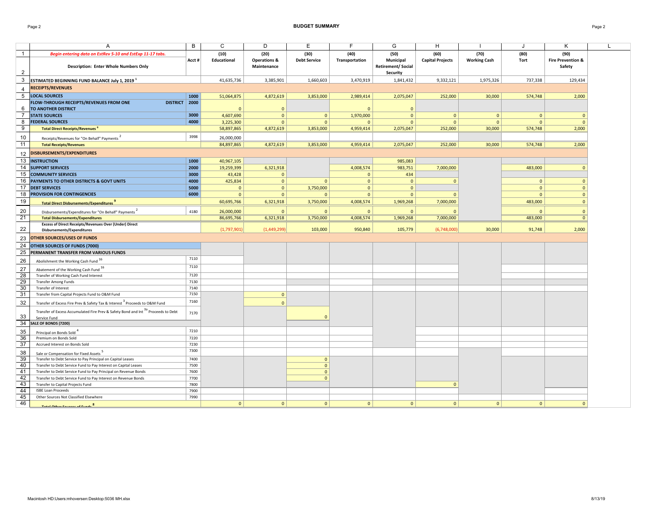#### Page 2 **BUDGET SUMMARY** Page 2

|                       | $\overline{A}$                                                                                            | B            | $\mathsf{C}$       | D                                      | Ε                   | F              | G                                     | H                       |                     | J              | Κ                                      | L |
|-----------------------|-----------------------------------------------------------------------------------------------------------|--------------|--------------------|----------------------------------------|---------------------|----------------|---------------------------------------|-------------------------|---------------------|----------------|----------------------------------------|---|
| $\mathbf{1}$          |                                                                                                           |              | (10)               | (20)                                   | (30)                | (40)           | (50)                                  | (60)                    | (70)                |                | (90)                                   |   |
|                       | Begin entering data on EstRev 5-10 and EstExp 11-17 tabs.<br><b>Description: Enter Whole Numbers Only</b> | Acct#        | <b>Educational</b> | <b>Operations &amp;</b><br>Maintenance | <b>Debt Service</b> | Transportation | Municipal<br><b>Retirement/Social</b> | <b>Capital Projects</b> | <b>Working Cash</b> | (80)<br>Tort   | <b>Fire Prevention &amp;</b><br>Safety |   |
| $\overline{2}$        |                                                                                                           |              |                    |                                        |                     |                | Security                              |                         |                     |                |                                        |   |
| $\mathbf{3}$          | ESTIMATED BEGINNING FUND BALANCE July 1, 2019 <sup>1</sup>                                                |              | 41,635,736         | 3,385,901                              | 1,660,603           | 3,470,919      | 1,841,432                             | 9,332,121               | 1,975,326           | 737,338        | 129,434                                |   |
| 4                     | <b>RECEIPTS/REVENUES</b>                                                                                  |              |                    |                                        |                     |                |                                       |                         |                     |                |                                        |   |
| 5                     | <b>LOCAL SOURCES</b>                                                                                      | 1000         | 51,064,875         | 4,872,619                              | 3,853,000           | 2,989,414      | 2,075,047                             | 252,000                 | 30,000              | 574,748        | 2,000                                  |   |
|                       | FLOW-THROUGH RECEIPTS/REVENUES FROM ONE<br>DISTRICT   2000                                                |              |                    |                                        |                     |                |                                       |                         |                     |                |                                        |   |
| 6                     | TO ANOTHER DISTRICT                                                                                       |              | $\Omega$           | $\mathbf 0$                            |                     | $\mathbf{0}$   | $\mathbf{0}$                          |                         |                     |                |                                        |   |
| $\overline{7}$        | <b>STATE SOURCES</b>                                                                                      | 3000         | 4,607,690          | $\mathbf{0}$                           | $\mathbf{0}$        | 1,970,000      | $\Omega$                              | $\mathbf{0}$            | $\mathbf{0}$        | $\overline{0}$ | $\Omega$                               |   |
| 8                     | <b>FEDERAL SOURCES</b>                                                                                    | 4000         | 3,225,300          | $\mathbf{0}$                           | $\mathbf{0}$        | $\mathbf{0}$   | $\mathbf{0}$                          | $\Omega$                | $\mathbf{0}$        | $\overline{0}$ | $\mathbf{0}$                           |   |
| $\overline{9}$        | <b>Total Direct Receipts/Revenues</b>                                                                     |              | 58,897,865         | 4,872,619                              | 3,853,000           | 4,959,414      | 2,075,047                             | 252,000                 | 30,000              | 574,748        | 2,000                                  |   |
| 10                    | Receipts/Revenues for "On Behalf" Payments                                                                | 3998         | 26,000,000         |                                        |                     |                |                                       |                         |                     |                |                                        |   |
| 11                    | <b>Total Receipts/Revenues</b>                                                                            |              | 84,897,865         | 4,872,619                              | 3,853,000           | 4,959,414      | 2,075,047                             | 252,000                 | 30,000              | 574,748        | 2,000                                  |   |
|                       |                                                                                                           |              |                    |                                        |                     |                |                                       |                         |                     |                |                                        |   |
| 12                    | <b>DISBURSEMENTS/EXPENDITURES</b>                                                                         |              |                    |                                        |                     |                |                                       |                         |                     |                |                                        |   |
| 13                    | <b>INSTRUCTION</b>                                                                                        | 1000         | 40,967,105         |                                        |                     |                | 985,083                               |                         |                     |                |                                        |   |
| 14                    | <b>SUPPORT SERVICES</b>                                                                                   | 2000         | 19,259,399         | 6,321,918                              |                     | 4,008,574      | 983,751                               | 7,000,000               |                     | 483,000        | $\mathbf{0}$                           |   |
| 15                    | <b>COMMUNITY SERVICES</b>                                                                                 | 3000         | 43,428             | $\mathbf{0}$                           |                     | $\mathbf{0}$   | 434                                   |                         |                     |                |                                        |   |
| 16                    | PAYMENTS TO OTHER DISTRICTS & GOVT UNITS                                                                  | 4000         | 425,834            | $\mathbf 0$                            | $\mathbf{0}$        | $\mathbf{0}$   | $\mathbf{0}$                          | $\mathbf{0}$            |                     | $\mathbf{0}$   | $\mathbf{0}$                           |   |
| 17                    | <b>DEBT SERVICES</b>                                                                                      | 5000         | $\mathbf{0}$       | $\mathbf{0}$                           | 3,750,000           | $\mathbf{0}$   | $\mathbf{0}$                          |                         |                     | $\Omega$       | $\Omega$                               |   |
| 18                    | PROVISION FOR CONTINGENCIES                                                                               | 6000         | $\mathbf{0}$       | $\mathbf{0}$                           | $\mathbf{0}$        | $\mathbf{0}$   | $\mathbf{0}$                          | $\mathbf{0}$            |                     | $\overline{0}$ | $\mathbf{0}$                           |   |
| 19                    | Total Direct Disbursements/Expenditures <sup>9</sup>                                                      |              | 60,695,766         | 6,321,918                              | 3,750,000           | 4,008,574      | 1,969,268                             | 7,000,000               |                     | 483,000        | $\mathbf{0}$                           |   |
| 20                    | Disbursements/Expenditures for "On Behalf" Payments                                                       | 4180         | 26,000,000         | $\Omega$                               |                     | $\mathbf{0}$   | $\Omega$                              | $\Omega$                |                     | $\Omega$       | $\mathbf{0}$                           |   |
| 21                    | <b>Total Disbursements/Expenditures</b>                                                                   |              | 86,695,766         | 6,321,918                              | 3,750,000           | 4,008,574      | 1,969,268                             | 7,000,000               |                     | 483,000        | $\mathbf{0}$                           |   |
|                       | <b>Excess of Direct Receipts/Revenues Over (Under) Direct</b>                                             |              |                    |                                        |                     |                |                                       |                         |                     |                |                                        |   |
| 22                    | Disbursements/Expenditures                                                                                |              | (1,797,901)        | (1,449,299)                            | 103,000             | 950,840        | 105,779                               | (6,748,000)             | 30,000              | 91,748         | 2,000                                  |   |
| 23                    | <b>OTHER SOURCES/USES OF FUNDS</b>                                                                        |              |                    |                                        |                     |                |                                       |                         |                     |                |                                        |   |
| 24                    | OTHER SOURCES OF FUNDS (7000)                                                                             |              |                    |                                        |                     |                |                                       |                         |                     |                |                                        |   |
| 25                    | PERMANENT TRANSFER FROM VARIOUS FUNDS                                                                     |              |                    |                                        |                     |                |                                       |                         |                     |                |                                        |   |
| 26                    | Abolishment the Working Cash Fund 16                                                                      | 7110         |                    |                                        |                     |                |                                       |                         |                     |                |                                        |   |
|                       |                                                                                                           | 7110         |                    |                                        |                     |                |                                       |                         |                     |                |                                        |   |
| 27                    | Abatement of the Working Cash Fund 16<br>Transfer of Working Cash Fund Interest                           | 7120         |                    |                                        |                     |                |                                       |                         |                     |                |                                        |   |
| $\overline{28}$<br>29 | <b>Transfer Among Funds</b>                                                                               | 7130         |                    |                                        |                     |                |                                       |                         |                     |                |                                        |   |
| 30                    | Transfer of Interest                                                                                      | 7140         |                    |                                        |                     |                |                                       |                         |                     |                |                                        |   |
| 31                    | Transfer from Capital Projects Fund to O&M Fund                                                           | 7150         |                    | $\mathbf{0}$                           |                     |                |                                       |                         |                     |                |                                        |   |
| 32                    |                                                                                                           | 7160         |                    | $\Omega$                               |                     |                |                                       |                         |                     |                |                                        |   |
|                       | Transfer of Excess Fire Prev & Safety Tax & Interest <sup>3</sup> Proceeds to O&M Fund                    |              |                    |                                        |                     |                |                                       |                         |                     |                |                                        |   |
|                       | Transfer of Excess Accumulated Fire Prev & Safety Bond and Int <sup>3a</sup> Proceeds to Debt             | 7170         |                    |                                        |                     |                |                                       |                         |                     |                |                                        |   |
| 33<br>34              | Service Fund<br>SALE OF BONDS (7200)                                                                      |              |                    |                                        | $\Omega$            |                |                                       |                         |                     |                |                                        |   |
|                       |                                                                                                           |              |                    |                                        |                     |                |                                       |                         |                     |                |                                        |   |
| 35                    | Principal on Bonds Sold <sup>4</sup>                                                                      | 7210         |                    |                                        |                     |                |                                       |                         |                     |                |                                        |   |
| 36                    | Premium on Bonds Sold                                                                                     | 7220         |                    |                                        |                     |                |                                       |                         |                     |                |                                        |   |
| 37                    | Accrued Interest on Bonds Sold                                                                            | 7230         |                    |                                        |                     |                |                                       |                         |                     |                |                                        |   |
| 38                    | Sale or Compensation for Fixed Assets <sup>5</sup>                                                        | 7300         |                    |                                        |                     |                |                                       |                         |                     |                |                                        |   |
| 39                    | Transfer to Debt Service to Pay Principal on Capital Leases                                               | 7400         |                    |                                        | $\mathbf{0}$        |                |                                       |                         |                     |                |                                        |   |
| 40                    | Transfer to Debt Service Fund to Pay Interest on Capital Leases                                           | 7500         |                    |                                        | $\mathbf{0}$        |                |                                       |                         |                     |                |                                        |   |
| 41                    | Transfer to Debt Service Fund to Pay Principal on Revenue Bonds                                           | 7600         |                    |                                        | $\mathbf{0}$        |                |                                       |                         |                     |                |                                        |   |
| 42<br>43              | Transfer to Debt Service Fund to Pay Interest on Revenue Bonds                                            | 7700         |                    |                                        | $\mathbf{0}$        |                |                                       |                         |                     |                |                                        |   |
| 44                    | Transfer to Capital Projects Fund<br><b>ISBE Loan Proceeds</b>                                            | 7800<br>7900 |                    |                                        |                     |                |                                       | $\mathbf{0}$            |                     |                |                                        |   |
| 45                    | Other Sources Not Classified Elsewhere                                                                    | 7990         |                    |                                        |                     |                |                                       |                         |                     |                |                                        |   |
| 46                    |                                                                                                           |              | $\overline{0}$     | $\mathbf{0}$                           | $\overline{0}$      | $\circ$        | 0                                     | $\mathbf{0}$            | 0 <sup>1</sup>      | 0              | $\mathbf{0}$                           |   |
|                       | Total Other Courses of Funds <sup>8</sup>                                                                 |              |                    |                                        |                     |                |                                       |                         |                     |                |                                        |   |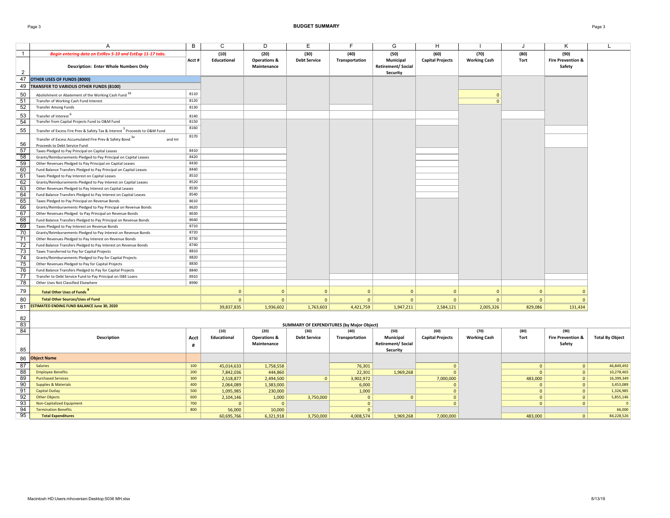### Page 3 **BUDGET SUMMARY** Page 3

|                | A                                                                                                                          | B            | $\mathsf{C}$ | D                                      | E                                                        | F              | G                                                 | H                       | - 1                 | J.             | K                                      | L                      |
|----------------|----------------------------------------------------------------------------------------------------------------------------|--------------|--------------|----------------------------------------|----------------------------------------------------------|----------------|---------------------------------------------------|-------------------------|---------------------|----------------|----------------------------------------|------------------------|
| $\overline{1}$ | Begin entering data on EstRev 5-10 and EstExp 11-17 tabs.                                                                  |              | (10)         | (20)                                   | (30)                                                     | (40)           | (50)                                              | (60)                    | (70)                | (80)           | (90)                                   |                        |
| $\overline{2}$ | <b>Description: Enter Whole Numbers Only</b>                                                                               | Acct #       | Educational  | <b>Operations &amp;</b><br>Maintenance | <b>Debt Service</b>                                      | Transportation | Municipal<br><b>Retirement/Social</b><br>Security | <b>Capital Projects</b> | <b>Working Cash</b> | <b>Tort</b>    | <b>Fire Prevention &amp;</b><br>Safety |                        |
| 47             | OTHER USES OF FUNDS (8000)                                                                                                 |              |              |                                        |                                                          |                |                                                   |                         |                     |                |                                        |                        |
| 49             | TRANSFER TO VARIOUS OTHER FUNDS (8100)                                                                                     |              |              |                                        |                                                          |                |                                                   |                         |                     |                |                                        |                        |
| 50             | Abolishment or Abatement of the Working Cash Fund <sup>16</sup>                                                            | 8110         |              |                                        |                                                          |                |                                                   |                         | $\Omega$            |                |                                        |                        |
| 51             | Transfer of Working Cash Fund Interest                                                                                     | 8120         |              |                                        |                                                          |                |                                                   |                         | $\Omega$            |                |                                        |                        |
| 52             | <b>Transfer Among Funds</b>                                                                                                | 8130         |              |                                        |                                                          |                |                                                   |                         |                     |                |                                        |                        |
|                |                                                                                                                            |              |              |                                        |                                                          |                |                                                   |                         |                     |                |                                        |                        |
| 53<br>54       | Transfer of Interest <sup>b</sup><br>Transfer from Capital Projects Fund to O&M Fund                                       | 8140<br>8150 |              |                                        |                                                          |                |                                                   |                         |                     |                |                                        |                        |
|                |                                                                                                                            | 8160         |              |                                        |                                                          |                |                                                   |                         |                     |                |                                        |                        |
| 55             | Transfer of Excess Fire Prev & Safety Tax & Interest <sup>3</sup> Proceeds to O&M Fund                                     |              |              |                                        |                                                          |                |                                                   |                         |                     |                |                                        |                        |
|                | Transfer of Excess Accumulated Fire Prev & Safety Bond 3a<br>and Int                                                       | 8170         |              |                                        |                                                          |                |                                                   |                         |                     |                |                                        |                        |
| 56             | Proceeds to Debt Service Fund                                                                                              |              |              |                                        |                                                          |                |                                                   |                         |                     |                |                                        |                        |
| 57             | Taxes Pledged to Pay Principal on Capital Leases                                                                           | 8410         |              |                                        |                                                          |                |                                                   |                         |                     |                |                                        |                        |
| 58             | Grants/Reimbursements Pledged to Pay Principal on Capital Leases                                                           | 8420         |              |                                        |                                                          |                |                                                   |                         |                     |                |                                        |                        |
| 59             | Other Revenues Pledged to Pay Principal on Capital Leases                                                                  | 8430<br>8440 |              |                                        |                                                          |                |                                                   |                         |                     |                |                                        |                        |
| 60<br>61       | Fund Balance Transfers Pledged to Pay Principal on Capital Leases                                                          | 8510         |              |                                        |                                                          |                |                                                   |                         |                     |                |                                        |                        |
| 62             | Taxes Pledged to Pay Interest on Capital Leases<br>Grants/Reimbursements Pledged to Pay Interest on Capital Leases         | 8520         |              |                                        |                                                          |                |                                                   |                         |                     |                |                                        |                        |
| 63             | Other Revenues Pledged to Pay Interest on Capital Leases                                                                   | 8530         |              |                                        |                                                          |                |                                                   |                         |                     |                |                                        |                        |
| 64             | Fund Balance Transfers Pledged to Pay Interest on Capital Leases                                                           | 8540         |              |                                        |                                                          |                |                                                   |                         |                     |                |                                        |                        |
| 65             | Taxes Pledged to Pay Principal on Revenue Bonds                                                                            | 8610         |              |                                        |                                                          |                |                                                   |                         |                     |                |                                        |                        |
| 66             | Grants/Reimbursements Pledged to Pay Principal on Revenue Bonds                                                            | 8620         |              |                                        |                                                          |                |                                                   |                         |                     |                |                                        |                        |
| 67             | Other Revenues Pledged to Pay Principal on Revenue Bonds                                                                   | 8630         |              |                                        |                                                          |                |                                                   |                         |                     |                |                                        |                        |
| 68             | Fund Balance Transfers Pledged to Pay Principal on Revenue Bonds                                                           | 8640         |              |                                        |                                                          |                |                                                   |                         |                     |                |                                        |                        |
| 69             | Taxes Pledged to Pay Interest on Revenue Bonds                                                                             | 8710         |              |                                        |                                                          |                |                                                   |                         |                     |                |                                        |                        |
| 70             | Grants/Reimbursements Pledged to Pay Interest on Revenue Bonds                                                             | 8720         |              |                                        |                                                          |                |                                                   |                         |                     |                |                                        |                        |
| 71             | Other Revenues Pledged to Pay Interest on Revenue Bonds                                                                    | 8730         |              |                                        |                                                          |                |                                                   |                         |                     |                |                                        |                        |
| 72             | Fund Balance Transfers Pledged to Pay Interest on Revenue Bonds                                                            | 8740         |              |                                        |                                                          |                |                                                   |                         |                     |                |                                        |                        |
| 73             | Taxes Transferred to Pay for Capital Projects                                                                              | 8810         |              |                                        |                                                          |                |                                                   |                         |                     |                |                                        |                        |
| 74             | Grants/Reimbursements Pledged to Pay for Capital Projects                                                                  | 8820         |              |                                        |                                                          |                |                                                   |                         |                     |                |                                        |                        |
| 75<br>76       | Other Revenues Pledged to Pay for Capital Projects                                                                         | 8830<br>8840 |              |                                        |                                                          |                |                                                   |                         |                     |                |                                        |                        |
| 77             | Fund Balance Transfers Pledged to Pay for Capital Projects<br>Transfer to Debt Service Fund to Pay Principal on ISBE Loans | 8910         |              |                                        |                                                          |                |                                                   |                         |                     |                |                                        |                        |
| 78             | Other Uses Not Classified Elsewhere                                                                                        | 8990         |              |                                        |                                                          |                |                                                   |                         |                     |                |                                        |                        |
|                |                                                                                                                            |              |              |                                        |                                                          |                |                                                   |                         |                     |                |                                        |                        |
| 79             | <b>Total Other Uses of Funds</b>                                                                                           |              | $\mathbf{0}$ | $\mathbf{0}$                           | $\overline{0}$                                           | $\mathbf{0}$   | $\overline{0}$                                    | $\mathbf{0}$            | $\overline{0}$      | $\mathbf{0}$   | $\Omega$                               |                        |
| 80             | <b>Total Other Sources/Uses of Fund</b>                                                                                    |              | $\mathbf{0}$ | $\mathbf{0}$                           | $\mathbf{0}$                                             | $\overline{0}$ | $\overline{0}$                                    | $\mathbf{0}$            | $\mathbf{0}$        | $\overline{0}$ | $\mathbf{0}$                           |                        |
| 81             | <b>ESTIMATED ENDING FUND BALANCE June 30, 2020</b>                                                                         |              | 39,837,835   | 1,936,602                              | 1,763,603                                                | 4,421,759      | 1,947,211                                         | 2,584,121               | 2,005,326           | 829,086        | 131,434                                |                        |
|                |                                                                                                                            |              |              |                                        |                                                          |                |                                                   |                         |                     |                |                                        |                        |
| 82<br>83       |                                                                                                                            |              |              |                                        |                                                          |                |                                                   |                         |                     |                |                                        |                        |
| 84             |                                                                                                                            |              | (10)         | (20)                                   | <b>SUMMARY OF EXPENDITURES (by Major Object)</b><br>(30) | (40)           | (50)                                              | (60)                    | (70)                | (80)           | (90)                                   |                        |
|                | Description                                                                                                                | Acct         | Educational  | <b>Operations &amp;</b>                | <b>Debt Service</b>                                      | Transportation | Municipal                                         | <b>Capital Projects</b> | <b>Working Cash</b> | Tort           | <b>Fire Prevention &amp;</b>           | <b>Total By Object</b> |
|                |                                                                                                                            | #            |              | Maintenance                            |                                                          |                | <b>Retirement/Social</b>                          |                         |                     |                | Safety                                 |                        |
| 85             |                                                                                                                            |              |              |                                        |                                                          |                | Security                                          |                         |                     |                |                                        |                        |
| 86             | <b>Object Name</b>                                                                                                         |              |              |                                        |                                                          |                |                                                   |                         |                     |                |                                        |                        |
| 87             | <b>Salaries</b>                                                                                                            | 100          | 45,014,633   | 1,758,558                              |                                                          | 76,301         |                                                   | $\mathbf{0}$            |                     | $\mathbf{0}$   | $\mathbf{0}$                           | 46,849,492             |
| 88             | <b>Employee Benefits</b>                                                                                                   | 200          | 7,842,036    | 444,860                                |                                                          | 22,301         | 1,969,268                                         | $\Omega$                |                     | $\Omega$       | $\circ$                                | 10,278,465             |
| 89             | <b>Purchased Services</b>                                                                                                  | 300          | 2,518,877    | 2,494,500                              | $\mathbf{0}$                                             | 3,902,972      |                                                   | 7,000,000               |                     | 483,000        | $\mathbf{0}$                           | 16,399,349             |
| 90             | <b>Supplies &amp; Materials</b>                                                                                            | 400          | 2,064,089    | 1,383,000                              |                                                          | 6,000          |                                                   | $\Omega$                |                     | $\overline{0}$ | $\mathbf{0}$                           | 3,453,089              |
| 91             | <b>Capital Outlay</b>                                                                                                      | 500          | 1,095,985    | 230,000                                |                                                          | 1,000          |                                                   | $\mathbf{0}$            |                     | $\overline{0}$ | $\mathbf{0}$                           | 1,326,985              |
| 92             | <b>Other Objects</b>                                                                                                       | 600          | 2,104,146    | 1,000                                  | 3,750,000                                                | $\Omega$       | $\overline{0}$                                    | $\Omega$                |                     | $\overline{0}$ | $\mathbf{0}$                           | 5,855,146              |
| 93             | <b>Non-Capitalized Equipment</b>                                                                                           | 700          | $\Omega$     | $\Omega$                               |                                                          | $\mathbf{0}$   |                                                   | $\Omega$                |                     | $\mathbf{0}$   | $\mathbf{0}$                           | $\Omega$               |
| 94             | <b>Termination Benefits</b>                                                                                                | 800          | 56,000       | 10,000                                 |                                                          | $\mathbf{0}$   |                                                   |                         |                     |                |                                        | 66,000                 |
| 95             | <b>Total Expenditures</b>                                                                                                  |              | 60.695.766   | 6.321.918                              | 3.750.000                                                | 4.008.574      | 1.969.268                                         | 7.000.000               |                     | 483.000        | $\mathbf{0}$                           | 84,228,526             |

**Total Expenditures** 60,695,766 6,321,918 3,750,000 4,008,574 1,969,268 7,000,000 483,000 0 84,228,526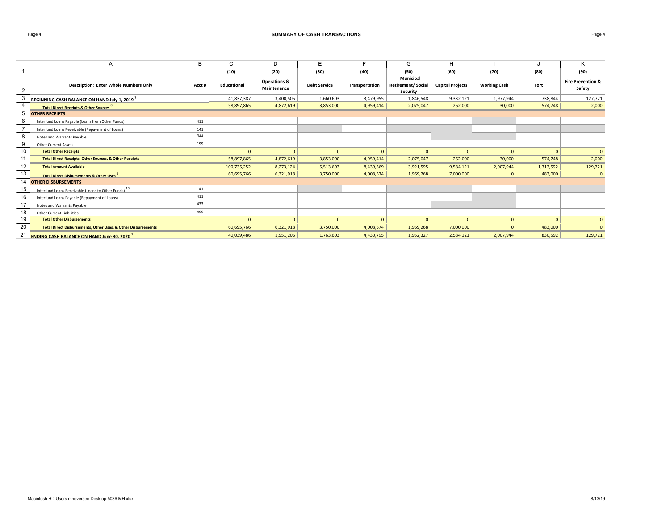## Page 4 **SUMMARY OF CASH TRANSACTIONS** Page 4

|                | A                                                                        | B      | C            | D                                      | E                   |                | G                                                 | н                       |                     |           | Κ                                      |
|----------------|--------------------------------------------------------------------------|--------|--------------|----------------------------------------|---------------------|----------------|---------------------------------------------------|-------------------------|---------------------|-----------|----------------------------------------|
|                |                                                                          |        | (10)         | (20)                                   | (30)                | (40)           | (50)                                              | (60)                    | (70)                | (80)      | (90)                                   |
| $\overline{2}$ | <b>Description: Enter Whole Numbers Only</b>                             | Acct # | Educational  | <b>Operations &amp;</b><br>Maintenance | <b>Debt Service</b> | Transportation | Municipal<br><b>Retirement/Social</b><br>Security | <b>Capital Projects</b> | <b>Working Cash</b> | Tort      | <b>Fire Prevention &amp;</b><br>Safety |
| 3              | BEGINNING CASH BALANCE ON HAND July 1, 2019                              |        | 41,837,387   | 3,400,505                              | 1,660,603           | 3,479,955      | 1,846,548                                         | 9,332,121               | 1,977,944           | 738,844   | 127,721                                |
|                | <b>Total Direct Receipts &amp; Other Sources</b>                         |        | 58,897,865   | 4,872,619                              | 3,853,000           | 4,959,414      | 2,075,047                                         | 252,000                 | 30,000              | 574,748   | 2,000                                  |
| 5              | <b>OTHER RECEIPTS</b>                                                    |        |              |                                        |                     |                |                                                   |                         |                     |           |                                        |
| 6              | Interfund Loans Payable (Loans from Other Funds)                         | 411    |              |                                        |                     |                |                                                   |                         |                     |           |                                        |
|                | Interfund Loans Receivable (Repayment of Loans)                          | 141    |              |                                        |                     |                |                                                   |                         |                     |           |                                        |
| 8              | Notes and Warrants Payable                                               | 433    |              |                                        |                     |                |                                                   |                         |                     |           |                                        |
| 9              | <b>Other Current Assets</b>                                              | 199    |              |                                        |                     |                |                                                   |                         |                     |           |                                        |
| 10             | <b>Total Other Receipts</b>                                              |        | $\mathbf{0}$ | $\mathbf{0}$                           | $\Omega$            | $\Omega$       | $\Omega$                                          | $\overline{0}$          | $\Omega$            | $\Omega$  | $\overline{0}$                         |
| 11             | <b>Total Direct Receipts, Other Sources, &amp; Other Receipts</b>        |        | 58,897,865   | 4,872,619                              | 3,853,000           | 4,959,414      | 2,075,047                                         | 252,000                 | 30,000              | 574,748   | 2,000                                  |
| 12             | <b>Total Amount Available</b>                                            |        | 100,735,252  | 8,273,124                              | 5,513,603           | 8,439,369      | 3,921,595                                         | 9,584,121               | 2,007,944           | 1,313,592 | 129,721                                |
| 13             | Total Direct Disbursements & Other Uses                                  |        | 60,695,766   | 6,321,918                              | 3,750,000           | 4,008,574      | 1,969,268                                         | 7,000,000               | $\Omega$            | 483,000   | $\overline{0}$                         |
| 14             | <b>OTHER DISBURSEMENTS</b>                                               |        |              |                                        |                     |                |                                                   |                         |                     |           |                                        |
| 15             | Interfund Loans Receivable (Loans to Other Funds) <sup>10</sup>          | 141    |              |                                        |                     |                |                                                   |                         |                     |           |                                        |
| 16             | Interfund Loans Payable (Repayment of Loans)                             | 411    |              |                                        |                     |                |                                                   |                         |                     |           |                                        |
| 17             | Notes and Warrants Payable                                               | 433    |              |                                        |                     |                |                                                   |                         |                     |           |                                        |
| 18             | Other Current Liabilities                                                | 499    |              |                                        |                     |                |                                                   |                         |                     |           |                                        |
| 19             | <b>Total Other Disbursements</b>                                         |        | $\Omega$     | $\mathbf{0}$                           | $\Omega$            | $\Omega$       | $\mathbf{0}$                                      | $\overline{0}$          |                     | $\Omega$  | $\Omega$                               |
| 20             | <b>Total Direct Disbursements, Other Uses, &amp; Other Disbursements</b> |        | 60,695,766   | 6,321,918                              | 3,750,000           | 4,008,574      | 1,969,268                                         | 7,000,000               |                     | 483,000   | $\Omega$                               |
| 21             | <b>ENDING CASH BALANCE ON HAND June 30, 2020</b>                         |        | 40,039,486   | 1,951,206                              | 1,763,603           | 4,430,795      | 1,952,327                                         | 2,584,121               | 2,007,944           | 830,592   | 129,721                                |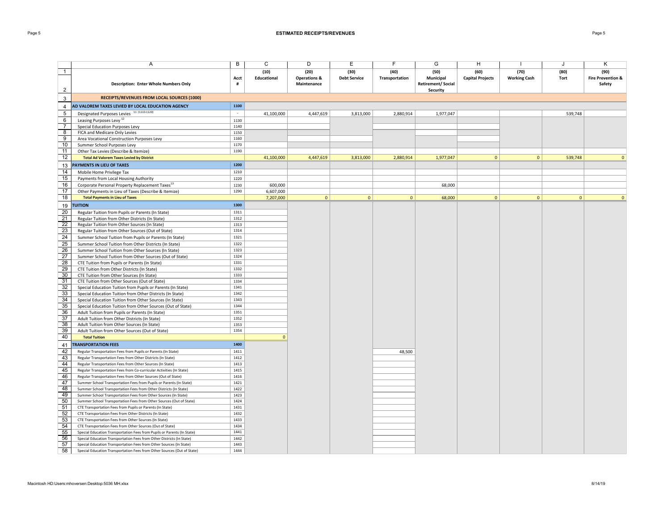## Page 5 **ESTIMATED RECEIPTS/REVENUES** Page 5

|                       | A                                                                                                                                        | B            | C            | D                       | Ε                   | F              | G                         | H                       |                     | J       | Κ                            |
|-----------------------|------------------------------------------------------------------------------------------------------------------------------------------|--------------|--------------|-------------------------|---------------------|----------------|---------------------------|-------------------------|---------------------|---------|------------------------------|
| $\overline{1}$        |                                                                                                                                          |              | (10)         | (20)                    | (30)                | (40)           | (50)                      | (60)                    | (70)                | (80)    | (90)                         |
|                       |                                                                                                                                          | Acct         | Educational  | <b>Operations &amp;</b> | <b>Debt Service</b> | Transportation | Municipal                 | <b>Capital Projects</b> | <b>Working Cash</b> | Tort    | <b>Fire Prevention &amp;</b> |
|                       | <b>Description: Enter Whole Numbers Only</b>                                                                                             | #            |              | Maintenance             |                     |                | <b>Retirement/ Social</b> |                         |                     |         | Safety                       |
| $\overline{2}$        |                                                                                                                                          |              |              |                         |                     |                | <b>Security</b>           |                         |                     |         |                              |
| 3                     | RECEIPTS/REVENUES FROM LOCAL SOURCES (1000)                                                                                              |              |              |                         |                     |                |                           |                         |                     |         |                              |
| 4                     | AD VALOREM TAXES LEVIED BY LOCAL EDUCATION AGENCY                                                                                        | 1100         |              |                         |                     |                |                           |                         |                     |         |                              |
| $\sqrt{5}$            | Designated Purposes Levies 11 (1110-1120)                                                                                                | $\sim$       | 41,100,000   | 4,447,619               | 3,813,000           | 2,880,914      | 1,977,047                 |                         |                     | 539,748 |                              |
| 6                     | Leasing Purposes Levy <sup>12</sup>                                                                                                      | 1130         |              |                         |                     |                |                           |                         |                     |         |                              |
| $\overline{7}$        | Special Education Purposes Levy                                                                                                          | 1140         |              |                         |                     |                |                           |                         |                     |         |                              |
| 8                     | FICA and Medicare Only Levies                                                                                                            | 1150         |              |                         |                     |                |                           |                         |                     |         |                              |
| $\overline{9}$        | Area Vocational Construction Purposes Levy                                                                                               | 1160         |              |                         |                     |                |                           |                         |                     |         |                              |
| 10                    | Summer School Purposes Levy                                                                                                              | 1170         |              |                         |                     |                |                           |                         |                     |         |                              |
| 11                    | Other Tax Levies (Describe & Itemize)                                                                                                    | 1190         |              |                         |                     |                |                           |                         |                     |         |                              |
| 12                    | <b>Total Ad Valorem Taxes Levied by District</b>                                                                                         |              | 41,100,000   | 4,447,619               | 3,813,000           | 2,880,914      | 1,977,047                 | $\mathbf{0}$            | $\mathbf{0}$        | 539,748 | $\mathbf{0}$                 |
| 13                    | <b>PAYMENTS IN LIEU OF TAXES</b>                                                                                                         | 1200         |              |                         |                     |                |                           |                         |                     |         |                              |
| 14                    | Mobile Home Privilege Tax                                                                                                                | 1210         |              |                         |                     |                |                           |                         |                     |         |                              |
| 15                    | Payments from Local Housing Authority                                                                                                    | 1220         |              |                         |                     |                |                           |                         |                     |         |                              |
| 16                    | Corporate Personal Property Replacement Taxes <sup>13</sup>                                                                              | 1230         | 600,000      |                         |                     |                | 68,000                    |                         |                     |         |                              |
| 17                    | Other Payments in Lieu of Taxes (Describe & Itemize)                                                                                     | 1290         | 6,607,000    |                         |                     |                |                           |                         |                     |         |                              |
| 18                    | <b>Total Payments in Lieu of Taxes</b>                                                                                                   |              | 7,207,000    | $\overline{0}$          | $\mathbf{0}$        | $\circ$        | 68,000                    | 0 <sup>1</sup>          | 0                   | 0       | $\mathbf{0}$                 |
| 19                    | <b>TUITION</b>                                                                                                                           | 1300         |              |                         |                     |                |                           |                         |                     |         |                              |
| 20                    | Regular Tuition from Pupils or Parents (In State)                                                                                        | 1311         |              |                         |                     |                |                           |                         |                     |         |                              |
| 21                    | Regular Tuition from Other Districts (In State)                                                                                          | 1312         |              |                         |                     |                |                           |                         |                     |         |                              |
| 22                    | Regular Tuition from Other Sources (In State)                                                                                            | 1313         |              |                         |                     |                |                           |                         |                     |         |                              |
| 23                    | Regular Tuition from Other Sources (Out of State)                                                                                        | 1314         |              |                         |                     |                |                           |                         |                     |         |                              |
| 24                    | Summer School Tuition from Pupils or Parents (In State)                                                                                  | 1321         |              |                         |                     |                |                           |                         |                     |         |                              |
| $\overline{25}$       | Summer School Tuition from Other Districts (In State)                                                                                    | 1322         |              |                         |                     |                |                           |                         |                     |         |                              |
| 26                    | Summer School Tuition from Other Sources (In State)                                                                                      | 1323         |              |                         |                     |                |                           |                         |                     |         |                              |
| $\overline{27}$       | Summer School Tuition from Other Sources (Out of State)                                                                                  | 1324         |              |                         |                     |                |                           |                         |                     |         |                              |
| 28<br>29              | CTE Tuition from Pupils or Parents (In State)                                                                                            | 1331<br>1332 |              |                         |                     |                |                           |                         |                     |         |                              |
| 30                    | CTE Tuition from Other Districts (In State)<br>CTE Tuition from Other Sources (In State)                                                 | 1333         |              |                         |                     |                |                           |                         |                     |         |                              |
| 31                    | CTE Tuition from Other Sources (Out of State)                                                                                            | 1334         |              |                         |                     |                |                           |                         |                     |         |                              |
| 32                    | Special Education Tuition from Pupils or Parents (In State)                                                                              | 1341         |              |                         |                     |                |                           |                         |                     |         |                              |
| 33                    | Special Education Tuition from Other Districts (In State)                                                                                | 1342         |              |                         |                     |                |                           |                         |                     |         |                              |
| 34                    | Special Education Tuition from Other Sources (In State)                                                                                  | 1343         |              |                         |                     |                |                           |                         |                     |         |                              |
| 35                    | Special Education Tuition from Other Sources (Out of State)                                                                              | 1344         |              |                         |                     |                |                           |                         |                     |         |                              |
| 36                    | Adult Tuition from Pupils or Parents (In State)                                                                                          | 1351         |              |                         |                     |                |                           |                         |                     |         |                              |
| 37                    | Adult Tuition from Other Districts (In State)                                                                                            | 1352         |              |                         |                     |                |                           |                         |                     |         |                              |
| $\overline{38}$       | Adult Tuition from Other Sources (In State)                                                                                              | 1353         |              |                         |                     |                |                           |                         |                     |         |                              |
| 39                    | Adult Tuition from Other Sources (Out of State)                                                                                          | 1354         |              |                         |                     |                |                           |                         |                     |         |                              |
| 40                    | <b>Total Tuition</b>                                                                                                                     |              | $\mathbf{0}$ |                         |                     |                |                           |                         |                     |         |                              |
| 41                    | <b>TRANSPORTATION FEES</b>                                                                                                               | 1400         |              |                         |                     |                |                           |                         |                     |         |                              |
| 42                    | Regular Transportation Fees from Pupils or Parents (In State)                                                                            | 1411         |              |                         |                     | 48,500         |                           |                         |                     |         |                              |
| 43                    | Regular Transportation Fees from Other Districts (In State)                                                                              | 1412         |              |                         |                     |                |                           |                         |                     |         |                              |
| 44                    | Regular Transportation Fees from Other Sources (In State)                                                                                | 1413         |              |                         |                     |                |                           |                         |                     |         |                              |
| 45                    | Regular Transportation Fees from Co-curricular Activities (In State)                                                                     | 1415         |              |                         |                     |                |                           |                         |                     |         |                              |
| 46<br>$\overline{47}$ | Regular Transportation Fees from Other Sources (Out of State)                                                                            | 1416<br>1421 |              |                         |                     |                |                           |                         |                     |         |                              |
| 48                    | Summer School Transportation Fees from Pupils or Parents (In State)<br>Summer School Transportation Fees from Other Districts (In State) | 1422         |              |                         |                     |                |                           |                         |                     |         |                              |
| 49                    | Summer School Transportation Fees from Other Sources (In State)                                                                          | 1423         |              |                         |                     |                |                           |                         |                     |         |                              |
| 50                    | Summer School Transportation Fees from Other Sources (Out of State)                                                                      | 1424         |              |                         |                     |                |                           |                         |                     |         |                              |
| 51                    | CTE Transportation Fees from Pupils or Parents (In State)                                                                                | 1431         |              |                         |                     |                |                           |                         |                     |         |                              |
| 52                    | CTE Transportation Fees from Other Districts (In State)                                                                                  | 1432         |              |                         |                     |                |                           |                         |                     |         |                              |
| 53                    | CTE Transportation Fees from Other Sources (In State)                                                                                    | 1433         |              |                         |                     |                |                           |                         |                     |         |                              |
| 54                    | CTE Transportation Fees from Other Sources (Out of State)                                                                                | 1434         |              |                         |                     |                |                           |                         |                     |         |                              |
| 55                    | Special Education Transportation Fees from Pupils or Parents (In State)                                                                  | 1441         |              |                         |                     |                |                           |                         |                     |         |                              |
| 56                    | Special Education Transportation Fees from Other Districts (In State)                                                                    | 1442         |              |                         |                     |                |                           |                         |                     |         |                              |
| 57                    | Special Education Transportation Fees from Other Sources (In State)                                                                      | 1443         |              |                         |                     |                |                           |                         |                     |         |                              |
| 58                    | Special Education Transportation Fees from Other Sources (Out of State)                                                                  | 1444         |              |                         |                     |                |                           |                         |                     |         |                              |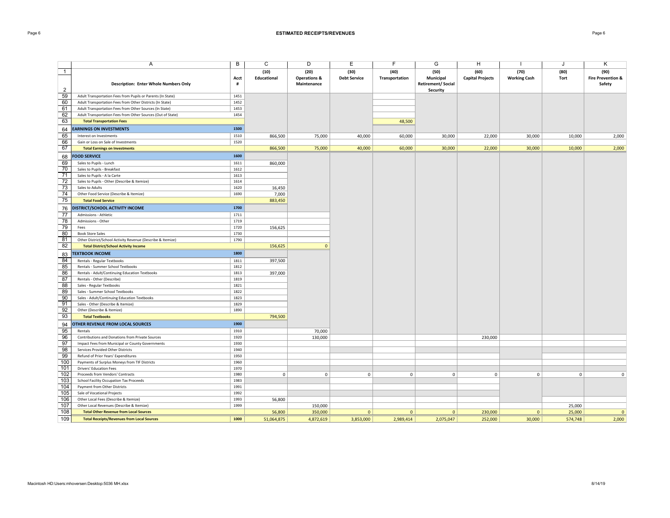## Page 6 **ESTIMATED RECEIPTS/REVENUES** Page 6

|                       | A                                                                                  | B            | $\overline{C}$      | D                               | Ε                           | F                      | G                                    | н                               |                             | J            | Κ                                    |
|-----------------------|------------------------------------------------------------------------------------|--------------|---------------------|---------------------------------|-----------------------------|------------------------|--------------------------------------|---------------------------------|-----------------------------|--------------|--------------------------------------|
| $\overline{1}$        |                                                                                    | Acct         | (10)<br>Educational | (20)<br><b>Operations &amp;</b> | (30)<br><b>Debt Service</b> | (40)<br>Transportation | (50)<br>Municipal                    | (60)<br><b>Capital Projects</b> | (70)<br><b>Working Cash</b> | (80)<br>Tort | (90)<br><b>Fire Prevention &amp;</b> |
| $\overline{2}$        | <b>Description: Enter Whole Numbers Only</b>                                       | #            |                     | Maintenance                     |                             |                        | <b>Retirement/Social</b><br>Security |                                 |                             |              | Safety                               |
| 59                    | Adult Transportation Fees from Pupils or Parents (In State)                        | 1451         |                     |                                 |                             |                        |                                      |                                 |                             |              |                                      |
| 60                    | Adult Transportation Fees from Other Districts (In State)                          | 1452         |                     |                                 |                             |                        |                                      |                                 |                             |              |                                      |
| 61                    | Adult Transportation Fees from Other Sources (In State)                            | 1453         |                     |                                 |                             |                        |                                      |                                 |                             |              |                                      |
| 62                    | Adult Transportation Fees from Other Sources (Out of State)                        | 1454         |                     |                                 |                             |                        |                                      |                                 |                             |              |                                      |
| 63                    | <b>Total Transportation Fees</b>                                                   |              |                     |                                 |                             | 48,500                 |                                      |                                 |                             |              |                                      |
| 64                    | <b>EARNINGS ON INVESTMENTS</b>                                                     | 1500         |                     |                                 |                             |                        |                                      |                                 |                             |              |                                      |
| 65                    | Interest on Investments                                                            | 1510         | 866,500             | 75,000                          | 40,000                      | 60,000                 | 30,000                               | 22,000                          | 30,000                      | 10,000       | 2,000                                |
| 66                    | Gain or Loss on Sale of Investments                                                | 1520         |                     |                                 |                             |                        |                                      |                                 |                             |              |                                      |
| 67                    | <b>Total Earnings on Investments</b>                                               |              | 866,500             | 75,000                          | 40,000                      | 60,000                 | 30,000                               | 22,000                          | 30,000                      | 10,000       | 2,000                                |
| 68                    | <b>FOOD SERVICE</b>                                                                | 1600         |                     |                                 |                             |                        |                                      |                                 |                             |              |                                      |
| 69                    | Sales to Pupils - Lunch                                                            | 1611         | 860,000             |                                 |                             |                        |                                      |                                 |                             |              |                                      |
| 70                    | Sales to Pupils - Breakfast                                                        | 1612         |                     |                                 |                             |                        |                                      |                                 |                             |              |                                      |
| 71                    | Sales to Pupils - A la Carte                                                       | 1613         |                     |                                 |                             |                        |                                      |                                 |                             |              |                                      |
| $\overline{72}$       | Sales to Pupils - Other (Describe & Itemize)                                       | 1614         |                     |                                 |                             |                        |                                      |                                 |                             |              |                                      |
| 73                    | Sales to Adults                                                                    | 1620         | 16,450              |                                 |                             |                        |                                      |                                 |                             |              |                                      |
| 74                    | Other Food Service (Describe & Itemize)                                            | 1690         | 7,000               |                                 |                             |                        |                                      |                                 |                             |              |                                      |
| 75                    | <b>Total Food Service</b>                                                          |              | 883,450             |                                 |                             |                        |                                      |                                 |                             |              |                                      |
| 76                    | DISTRICT/SCHOOL ACTIVITY INCOME                                                    | 1700         |                     |                                 |                             |                        |                                      |                                 |                             |              |                                      |
| 77                    | Admissions - Athletic                                                              | 1711         |                     |                                 |                             |                        |                                      |                                 |                             |              |                                      |
| 78                    | Admissions - Other                                                                 | 1719         |                     |                                 |                             |                        |                                      |                                 |                             |              |                                      |
| 79                    | Fees                                                                               | 1720         | 156,625             |                                 |                             |                        |                                      |                                 |                             |              |                                      |
| 80                    | <b>Book Store Sales</b>                                                            | 1730         |                     |                                 |                             |                        |                                      |                                 |                             |              |                                      |
| 81                    | Other District/School Activity Revenue (Describe & Itemize)                        | 1790         |                     |                                 |                             |                        |                                      |                                 |                             |              |                                      |
| 82                    | <b>Total District/School Activity Income</b>                                       |              | 156,625             | $\Omega$                        |                             |                        |                                      |                                 |                             |              |                                      |
| 83                    | <b>TEXTBOOK INCOME</b>                                                             | 1800         |                     |                                 |                             |                        |                                      |                                 |                             |              |                                      |
| 84                    | Rentals - Regular Textbooks                                                        | 1811         | 397,500             |                                 |                             |                        |                                      |                                 |                             |              |                                      |
| 85                    | Rentals - Summer School Textbooks                                                  | 1812         |                     |                                 |                             |                        |                                      |                                 |                             |              |                                      |
| 86                    | Rentals - Adult/Continuing Education Textbooks                                     | 1813         | 397,000             |                                 |                             |                        |                                      |                                 |                             |              |                                      |
| 87                    | Rentals - Other (Describe)                                                         | 1819         |                     |                                 |                             |                        |                                      |                                 |                             |              |                                      |
| 88                    | Sales - Regular Textbooks                                                          | 1821         |                     |                                 |                             |                        |                                      |                                 |                             |              |                                      |
| 89                    | Sales - Summer School Textbooks                                                    | 1822         |                     |                                 |                             |                        |                                      |                                 |                             |              |                                      |
| 90<br>$\overline{91}$ | Sales - Adult/Continuing Education Textbooks<br>Sales - Other (Describe & Itemize) | 1823<br>1829 |                     |                                 |                             |                        |                                      |                                 |                             |              |                                      |
| 92                    | Other (Describe & Itemize)                                                         | 1890         |                     |                                 |                             |                        |                                      |                                 |                             |              |                                      |
| 93                    | <b>Total Textbooks</b>                                                             |              | 794,500             |                                 |                             |                        |                                      |                                 |                             |              |                                      |
|                       | OTHER REVENUE FROM LOCAL SOURCES                                                   | 1900         |                     |                                 |                             |                        |                                      |                                 |                             |              |                                      |
| 94<br>95              | Rentals                                                                            | 1910         |                     | 70,000                          |                             |                        |                                      |                                 |                             |              |                                      |
| 96                    | Contributions and Donations from Private Sources                                   | 1920         |                     | 130,000                         |                             |                        |                                      | 230,000                         |                             |              |                                      |
| 97                    | Impact Fees from Municipal or County Governments                                   | 1930         |                     |                                 |                             |                        |                                      |                                 |                             |              |                                      |
| 98                    | Services Provided Other Districts                                                  | 1940         |                     |                                 |                             |                        |                                      |                                 |                             |              |                                      |
| 99                    | Refund of Prior Years' Expenditures                                                | 1950         |                     |                                 |                             |                        |                                      |                                 |                             |              |                                      |
| 100                   | Payments of Surplus Moneys from TIF Districts                                      | 1960         |                     |                                 |                             |                        |                                      |                                 |                             |              |                                      |
| 101                   | Drivers' Education Fees                                                            | 1970         |                     |                                 |                             |                        |                                      |                                 |                             |              |                                      |
| 102                   | Proceeds from Vendors' Contracts                                                   | 1980         | $\mathsf 0$         | $\mathbf 0$                     | $\mathbf 0$                 | $\mathsf{O}\xspace$    | $\mathsf 0$                          | $\mathbf 0$                     | $\mathbf 0$                 | $\mathbf 0$  | $\mathsf 0$                          |
| 103                   | School Facility Occupation Tax Proceeds                                            | 1983         |                     |                                 |                             |                        |                                      |                                 |                             |              |                                      |
| 104                   | Payment from Other Districts                                                       | 1991         |                     |                                 |                             |                        |                                      |                                 |                             |              |                                      |
| 105                   | Sale of Vocational Projects                                                        | 1992         |                     |                                 |                             |                        |                                      |                                 |                             |              |                                      |
| 106                   | Other Local Fees (Describe & Itemize)                                              | 1993         | 56,800              |                                 |                             |                        |                                      |                                 |                             |              |                                      |
| 107                   | Other Local Revenues (Describe & Itemize)                                          | 1999         |                     | 150,000                         |                             |                        |                                      |                                 |                             | 25,000       |                                      |
| 108                   | <b>Total Other Revenue from Local Sources</b>                                      |              | 56,800              | 350,000                         | $\mathbf{0}$                | $\mathbf{0}$           | $\mathbf{0}$                         | 230,000                         | $\overline{0}$              | 25,000       | $\mathbf{0}$                         |
| 109                   | <b>Total Receipts/Revenues from Local Sources</b>                                  | 1000         | 51,064,875          | 4,872,619                       | 3,853,000                   | 2,989,414              | 2,075,047                            | 252,000                         | 30,000                      | 574,748      | 2,000                                |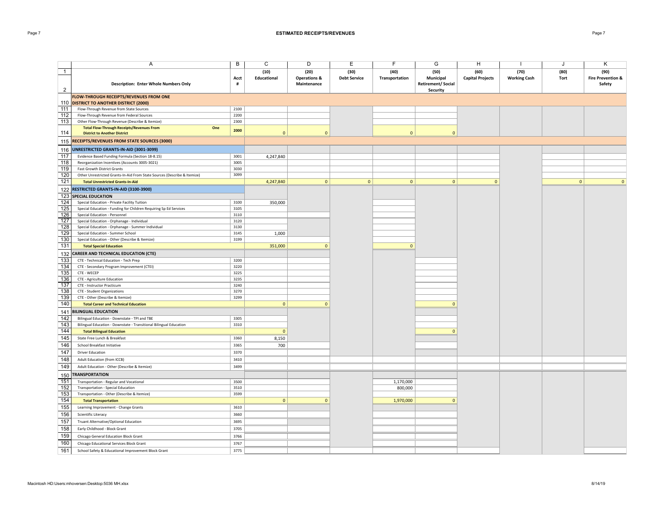## Page 7 **ESTIMATED RECEIPTS/REVENUES** Page 7

|                | Α                                                                        | B    | C              | D                       | Ε                   | F              | G                         | н                       |                     | J              | Κ                            |
|----------------|--------------------------------------------------------------------------|------|----------------|-------------------------|---------------------|----------------|---------------------------|-------------------------|---------------------|----------------|------------------------------|
| $\mathbf{1}$   |                                                                          |      | (10)           | (20)                    | (30)                | (40)           | (50)                      | (60)                    | (70)                | (80)           | (90)                         |
|                |                                                                          | Acct | Educational    | <b>Operations &amp;</b> | <b>Debt Service</b> | Transportation | Municipal                 | <b>Capital Projects</b> | <b>Working Cash</b> | Tort           | <b>Fire Prevention &amp;</b> |
|                | <b>Description: Enter Whole Numbers Only</b>                             | #    |                | Maintenance             |                     |                | <b>Retirement/ Social</b> |                         |                     |                | Safety                       |
| $\overline{2}$ |                                                                          |      |                |                         |                     |                | Security                  |                         |                     |                |                              |
|                | FLOW-THROUGH RECEIPTS/REVENUES FROM ONE                                  |      |                |                         |                     |                |                           |                         |                     |                |                              |
|                | 110 DISTRICT TO ANOTHER DISTRICT (2000)                                  |      |                |                         |                     |                |                           |                         |                     |                |                              |
| 111            | Flow-Through Revenue from State Sources                                  | 2100 |                |                         |                     |                |                           |                         |                     |                |                              |
| 112            | Flow-Through Revenue from Federal Sources                                | 2200 |                |                         |                     |                |                           |                         |                     |                |                              |
| 113            | Other Flow-Through Revenue (Describe & Itemize)                          | 2300 |                |                         |                     |                |                           |                         |                     |                |                              |
|                | <b>Total Flow-Through Receipts/Revenues From</b><br>One                  | 2000 |                |                         |                     |                |                           |                         |                     |                |                              |
| 114            | <b>District to Another District</b>                                      |      | $\mathbf{0}$   | $\mathbf{0}$            |                     | $\mathbf{0}$   | $\Omega$                  |                         |                     |                |                              |
| 115            | <b>RECEIPTS/REVENUES FROM STATE SOURCES (3000)</b>                       |      |                |                         |                     |                |                           |                         |                     |                |                              |
|                | 116 UNRESTRICTED GRANTS-IN-AID (3001-3099)                               |      |                |                         |                     |                |                           |                         |                     |                |                              |
| 117            | Evidence Based Funding Formula (Section 18-8.15)                         | 3001 | 4,247,840      |                         |                     |                |                           |                         |                     |                |                              |
| 118            | Reorganization Incentives (Accounts 3005-3021)                           | 3005 |                |                         |                     |                |                           |                         |                     |                |                              |
| 119            | <b>Fast Growth District Grants</b>                                       | 3030 |                |                         |                     |                |                           |                         |                     |                |                              |
| 120            | Other Unrestricted Grants-In-Aid From State Sources (Describe & Itemize) | 3099 |                |                         |                     |                |                           |                         |                     |                |                              |
| 121            | <b>Total Unrestricted Grants-In-Aid</b>                                  |      | 4,247,840      | 0                       | $\overline{0}$      | $\mathbf{0}$   | 0                         | $\mathbf{0}$            |                     | 0 <sup>1</sup> | $\mathbf{0}$                 |
|                | 122 RESTRICTED GRANTS-IN-AID (3100-3900)                                 |      |                |                         |                     |                |                           |                         |                     |                |                              |
|                | 123 SPECIAL EDUCATION                                                    |      |                |                         |                     |                |                           |                         |                     |                |                              |
| 124            | Special Education - Private Facility Tuition                             | 3100 | 350,000        |                         |                     |                |                           |                         |                     |                |                              |
| 125            | Special Education - Funding for Children Requiring Sp Ed Services        | 3105 |                |                         |                     |                |                           |                         |                     |                |                              |
| 126            | Special Education - Personnel                                            | 3110 |                |                         |                     |                |                           |                         |                     |                |                              |
| 127            | Special Education - Orphanage - Individual                               | 3120 |                |                         |                     |                |                           |                         |                     |                |                              |
| 128            | Special Education - Orphanage - Summer Individual                        | 3130 |                |                         |                     |                |                           |                         |                     |                |                              |
| 129            | Special Education - Summer School                                        | 3145 | 1,000          |                         |                     |                |                           |                         |                     |                |                              |
| 130            | Special Education - Other (Describe & Itemize)                           | 3199 |                |                         |                     |                |                           |                         |                     |                |                              |
| 131            | <b>Total Special Education</b>                                           |      | 351,000        | $\Omega$                |                     | $\mathbf{0}$   |                           |                         |                     |                |                              |
| 132            | <b>CAREER AND TECHNICAL EDUCATION (CTE)</b>                              |      |                |                         |                     |                |                           |                         |                     |                |                              |
| 133            | CTE - Technical Education - Tech Prep                                    | 3200 |                |                         |                     |                |                           |                         |                     |                |                              |
| 134            | CTE - Secondary Program Improvement (CTEI)                               | 3220 |                |                         |                     |                |                           |                         |                     |                |                              |
| 135            | CTE - WECEP                                                              | 3225 |                |                         |                     |                |                           |                         |                     |                |                              |
| 136            | CTE - Agriculture Education                                              | 3235 |                |                         |                     |                |                           |                         |                     |                |                              |
| 137            | CTE - Instructor Practicum                                               | 3240 |                |                         |                     |                |                           |                         |                     |                |                              |
| 138            | CTE - Student Organizations                                              | 3270 |                |                         |                     |                |                           |                         |                     |                |                              |
| 139            | CTE - Other (Describe & Itemize)                                         | 3299 |                |                         |                     |                |                           |                         |                     |                |                              |
| 140            | <b>Total Career and Technical Education</b>                              |      | $\mathbf{0}$   | $\Omega$                |                     |                | $\Omega$                  |                         |                     |                |                              |
| 141            | <b>BILINGUAL EDUCATION</b>                                               |      |                |                         |                     |                |                           |                         |                     |                |                              |
| 142            | Bilingual Education - Downstate - TPI and TBE                            | 3305 |                |                         |                     |                |                           |                         |                     |                |                              |
| 143            | Bilingual Education - Downstate - Transitional Bilingual Education       | 3310 |                |                         |                     |                |                           |                         |                     |                |                              |
| 144            | <b>Total Bilingual Education</b>                                         |      | $\mathbf{0}$   |                         |                     |                | $\Omega$                  |                         |                     |                |                              |
| 145            | State Free Lunch & Breakfast                                             | 3360 | 8,150          |                         |                     |                |                           |                         |                     |                |                              |
| 146            | School Breakfast Initiative                                              | 3365 | 700            |                         |                     |                |                           |                         |                     |                |                              |
| 147            | <b>Driver Education</b>                                                  | 3370 |                |                         |                     |                |                           |                         |                     |                |                              |
| 148            | Adult Education (from ICCB)                                              | 3410 |                |                         |                     |                |                           |                         |                     |                |                              |
| 149            | Adult Education - Other (Describe & Itemize)                             | 3499 |                |                         |                     |                |                           |                         |                     |                |                              |
| 150            | <b>TRANSPORTATION</b>                                                    |      |                |                         |                     |                |                           |                         |                     |                |                              |
| 151            | Transportation - Regular and Vocational                                  | 3500 |                |                         |                     | 1,170,000      |                           |                         |                     |                |                              |
| 152            | Transportation - Special Education                                       | 3510 |                |                         |                     | 800,000        |                           |                         |                     |                |                              |
| 153            | Transportation - Other (Describe & Itemize)                              | 3599 |                |                         |                     |                |                           |                         |                     |                |                              |
| 154            | <b>Total Transportation</b>                                              |      | $\overline{0}$ | $\mathbf{0}$            |                     | 1,970,000      | $\mathbf{0}$              |                         |                     |                |                              |
| 155            | Learning Improvement - Change Grants                                     | 3610 |                |                         |                     |                |                           |                         |                     |                |                              |
| 156            | Scientific Literacy                                                      | 3660 |                |                         |                     |                |                           |                         |                     |                |                              |
| 157            | Truant Alternative/Optional Education                                    | 3695 |                |                         |                     |                |                           |                         |                     |                |                              |
| 158            | Early Childhood - Block Grant                                            | 3705 |                |                         |                     |                |                           |                         |                     |                |                              |
| 159            | Chicago General Education Block Grant                                    | 3766 |                |                         |                     |                |                           |                         |                     |                |                              |
| 160            |                                                                          | 3767 |                |                         |                     |                |                           |                         |                     |                |                              |
|                | Chicago Educational Services Block Grant                                 |      |                |                         |                     |                |                           |                         |                     |                |                              |
| 161            | School Safety & Educational Improvement Block Grant                      | 3775 |                |                         |                     |                |                           |                         |                     |                |                              |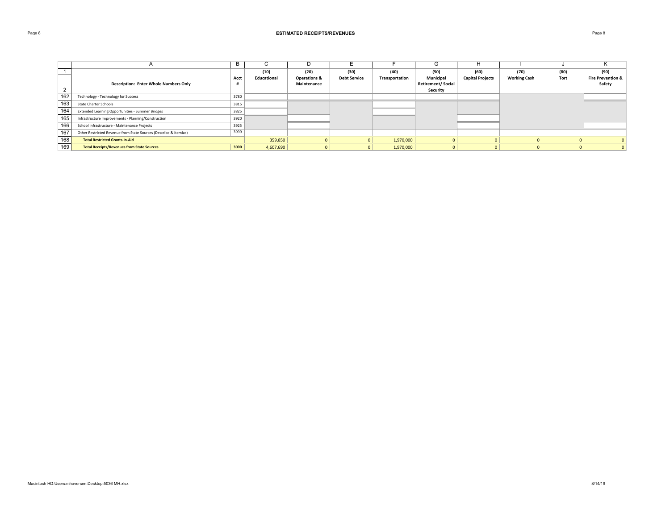## Page 8 **ESTIMATED RECEIPTS/REVENUES** Page 8

|     |                                                                  | Þ    | ι.          | D                       |                     |                | G                         | H                       |                     |      | r.                           |
|-----|------------------------------------------------------------------|------|-------------|-------------------------|---------------------|----------------|---------------------------|-------------------------|---------------------|------|------------------------------|
|     |                                                                  |      | (10)        | (20)                    | (30)                | (40)           | (50)                      | (60)                    | (70)                | (80) | (90)                         |
|     |                                                                  | Acct | Educational | <b>Operations &amp;</b> | <b>Debt Service</b> | Transportation | Municipal                 | <b>Capital Projects</b> | <b>Working Cash</b> | Tort | <b>Fire Prevention &amp;</b> |
|     | <b>Description: Enter Whole Numbers Only</b>                     |      |             | Maintenance             |                     |                | <b>Retirement/ Social</b> |                         |                     |      | Safety                       |
|     |                                                                  |      |             |                         |                     |                | Security                  |                         |                     |      |                              |
| 162 | Technology - Technology for Success                              | 3780 |             |                         |                     |                |                           |                         |                     |      |                              |
| 163 | State Charter Schools                                            | 3815 |             |                         |                     |                |                           |                         |                     |      |                              |
| 164 | Extended Learning Opportunities - Summer Bridges                 | 3825 |             |                         |                     |                |                           |                         |                     |      |                              |
| 165 | Infrastructure Improvements - Planning/Construction              | 3920 |             |                         |                     |                |                           |                         |                     |      |                              |
| 166 | School Infrastructure - Maintenance Projects                     | 3925 |             |                         |                     |                |                           |                         |                     |      |                              |
| 167 | Other Restricted Revenue from State Sources (Describe & Itemize) | 3999 |             |                         |                     |                |                           |                         |                     |      |                              |
| 168 | <b>Total Restricted Grants-In-Aid</b>                            |      | 359,850     |                         |                     | 1,970,000      | $\overline{0}$            |                         |                     |      |                              |
| 169 | <b>Total Receipts/Revenues from State Sources</b>                | 3000 | 4,607,690   |                         |                     | 1,970,000      |                           |                         |                     |      |                              |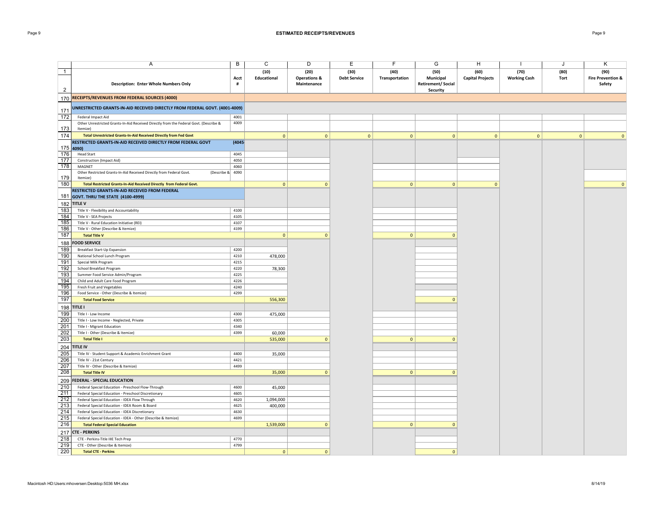## Page 9 **ESTIMATED RECEIPTS/REVENUES** Page 9

|                | A                                                                                                         | B            | C                   | D                                              | Ε                           | F                      | G                                             | H                               |                             | J            | Κ                                              |
|----------------|-----------------------------------------------------------------------------------------------------------|--------------|---------------------|------------------------------------------------|-----------------------------|------------------------|-----------------------------------------------|---------------------------------|-----------------------------|--------------|------------------------------------------------|
| $\overline{1}$ | <b>Description: Enter Whole Numbers Only</b>                                                              | Acct<br>#    | (10)<br>Educational | (20)<br><b>Operations &amp;</b><br>Maintenance | (30)<br><b>Debt Service</b> | (40)<br>Transportation | (50)<br>Municipal<br><b>Retirement/Social</b> | (60)<br><b>Capital Projects</b> | (70)<br><b>Working Cash</b> | (80)<br>Tort | (90)<br><b>Fire Prevention &amp;</b><br>Safety |
| $\overline{2}$ |                                                                                                           |              |                     |                                                |                             |                        | Security                                      |                                 |                             |              |                                                |
|                | 170 RECEIPTS/REVENUES FROM FEDERAL SOURCES (4000)                                                         |              |                     |                                                |                             |                        |                                               |                                 |                             |              |                                                |
| 171            | UNRESTRICTED GRANTS-IN-AID RECEIVED DIRECTLY FROM FEDERAL GOVT. (4001-4009)                               |              |                     |                                                |                             |                        |                                               |                                 |                             |              |                                                |
| 172            | Federal Impact Aid                                                                                        | 4001         |                     |                                                |                             |                        |                                               |                                 |                             |              |                                                |
|                | Other Unrestricted Grants-In-Aid Received Directly from the Federal Govt. (Describe &                     | 4009         |                     |                                                |                             |                        |                                               |                                 |                             |              |                                                |
| 173            | Itemize)                                                                                                  |              |                     |                                                |                             |                        |                                               |                                 |                             |              |                                                |
| 174            | Total Unrestricted Grants-In-Aid Received Directly from Fed Govt                                          |              | $\mathbf{0}$        | $\mathbf{0}$                                   | $\mathbf{0}$                | $\mathbf{0}$           | $\mathbf{0}$                                  | $\mathbf{0}$                    | $\mathbf{0}$                | $\mathbf{0}$ | $\mathbf{0}$                                   |
| $175$ 4090)    | RESTRICTED GRANTS-IN-AID RECEIVED DIRECTLY FROM FEDERAL GOVT                                              | (4045-       |                     |                                                |                             |                        |                                               |                                 |                             |              |                                                |
| 176            | <b>Head Start</b>                                                                                         | 4045         |                     |                                                |                             |                        |                                               |                                 |                             |              |                                                |
| 177            | <b>Construction (Impact Aid)</b>                                                                          | 4050         |                     |                                                |                             |                        |                                               |                                 |                             |              |                                                |
| 178            | MAGNET                                                                                                    | 4060         |                     |                                                |                             |                        |                                               |                                 |                             |              |                                                |
|                | Other Restricted Grants-In-Aid Received Directly from Federal Govt.<br>(Describe $& 4090$                 |              |                     |                                                |                             |                        |                                               |                                 |                             |              |                                                |
| 179<br>180     | Itemize)<br>Total Restricted Grants-In-Aid Received Directly from Federal Govt.                           |              | $\mathbf{0}$        | $\Omega$                                       |                             | $\mathbf{0}$           | $\mathbf 0$                                   | $\Omega$                        |                             |              | $\mathbf{0}$                                   |
|                | RESTRICTED GRANTS-IN-AID RECEIVED FROM FEDERAL                                                            |              |                     |                                                |                             |                        |                                               |                                 |                             |              |                                                |
| 181            | <b>GOVT. THRU THE STATE (4100-4999)</b>                                                                   |              |                     |                                                |                             |                        |                                               |                                 |                             |              |                                                |
|                | 182 TITLE V                                                                                               |              |                     |                                                |                             |                        |                                               |                                 |                             |              |                                                |
| 183            | Title V - Flexibility and Accountability                                                                  | 4100         |                     |                                                |                             |                        |                                               |                                 |                             |              |                                                |
| 184            | Title V - SEA Projects                                                                                    | 4105         |                     |                                                |                             |                        |                                               |                                 |                             |              |                                                |
| 185            | Title V - Rural Education Initiative (REI)                                                                | 4107         |                     |                                                |                             |                        |                                               |                                 |                             |              |                                                |
| 186            | Title V - Other (Describe & Itemize)                                                                      | 4199         |                     |                                                |                             |                        |                                               |                                 |                             |              |                                                |
| 187            | <b>Total Title V</b>                                                                                      |              | $\overline{0}$      | $\mathbf{0}$                                   |                             | $\mathbf{0}$           | $\mathbf 0$                                   |                                 |                             |              |                                                |
| 188            | <b>FOOD SERVICE</b>                                                                                       |              |                     |                                                |                             |                        |                                               |                                 |                             |              |                                                |
| 189            | Breakfast Start-Up Expansion                                                                              | 4200         |                     |                                                |                             |                        |                                               |                                 |                             |              |                                                |
| 190            | National School Lunch Program                                                                             | 4210         | 478,000             |                                                |                             |                        |                                               |                                 |                             |              |                                                |
| 191            | Special Milk Program                                                                                      | 4215         |                     |                                                |                             |                        |                                               |                                 |                             |              |                                                |
| 192            | School Breakfast Program                                                                                  | 4220         | 78,300              |                                                |                             |                        |                                               |                                 |                             |              |                                                |
| 193<br>194     | Summer Food Service Admin/Program                                                                         | 4225<br>4226 |                     |                                                |                             |                        |                                               |                                 |                             |              |                                                |
| 195            | Child and Adult Care Food Program<br>Fresh Fruit and Vegetables                                           | 4240         |                     |                                                |                             |                        |                                               |                                 |                             |              |                                                |
| 196            | Food Service - Other (Describe & Itemize)                                                                 | 4299         |                     |                                                |                             |                        |                                               |                                 |                             |              |                                                |
| 197            | <b>Total Food Service</b>                                                                                 |              | 556,300             |                                                |                             |                        | $\Omega$                                      |                                 |                             |              |                                                |
| 198            | <b>TITLE I</b>                                                                                            |              |                     |                                                |                             |                        |                                               |                                 |                             |              |                                                |
| 199            | Title I - Low Income                                                                                      | 4300         | 475,000             |                                                |                             |                        |                                               |                                 |                             |              |                                                |
| 200            | Title I - Low Income - Neglected, Private                                                                 | 4305         |                     |                                                |                             |                        |                                               |                                 |                             |              |                                                |
| 201            | Title I - Migrant Education                                                                               | 4340         |                     |                                                |                             |                        |                                               |                                 |                             |              |                                                |
| 202            | Title I - Other (Describe & Itemize)                                                                      | 4399         | 60,000              |                                                |                             |                        |                                               |                                 |                             |              |                                                |
| 203            | <b>Total Title I</b>                                                                                      |              | 535,000             | $\Omega$                                       |                             | $\mathbf{0}$           | $\mathbf 0$                                   |                                 |                             |              |                                                |
| 204            | <b>TITLE IV</b>                                                                                           |              |                     |                                                |                             |                        |                                               |                                 |                             |              |                                                |
| 205            | Title IV - Student Support & Academic Enrichment Grant                                                    | 4400         | 35,000              |                                                |                             |                        |                                               |                                 |                             |              |                                                |
| 206            | Title IV - 21st Century                                                                                   | 4421         |                     |                                                |                             |                        |                                               |                                 |                             |              |                                                |
| 207            | Title IV - Other (Describe & Itemize)                                                                     | 4499         |                     |                                                |                             |                        |                                               |                                 |                             |              |                                                |
| 208            | <b>Total Title IV</b>                                                                                     |              | 35,000              | $\mathbf{0}$                                   |                             | $\mathbf{0}$           | $\mathbf{0}$                                  |                                 |                             |              |                                                |
| 209            | <b>FEDERAL - SPECIAL EDUCATION</b>                                                                        |              |                     |                                                |                             |                        |                                               |                                 |                             |              |                                                |
| 210<br>211     | Federal Special Education - Preschool Flow-Through<br>Federal Special Education - Preschool Discretionary | 4600<br>4605 | 45,000              |                                                |                             |                        |                                               |                                 |                             |              |                                                |
| 212            | Federal Special Education - IDEA Flow Through                                                             | 4620         | 1,094,000           |                                                |                             |                        |                                               |                                 |                             |              |                                                |
| 213            | Federal Special Education - IDEA Room & Board                                                             | 4625         | 400,000             |                                                |                             |                        |                                               |                                 |                             |              |                                                |
| 214            | Federal Special Education - IDEA Discretionary                                                            | 4630         |                     |                                                |                             |                        |                                               |                                 |                             |              |                                                |
| 215            | Federal Special Education - IDEA - Other (Describe & Itemize)                                             | 4699         |                     |                                                |                             |                        |                                               |                                 |                             |              |                                                |
| 216            | <b>Total Federal Special Education</b>                                                                    |              | 1,539,000           | $\mathbf{0}$                                   |                             | $\mathbf{0}$           | $\mathbf{0}$                                  |                                 |                             |              |                                                |
| 217            | <b>CTE - PERKINS</b>                                                                                      |              |                     |                                                |                             |                        |                                               |                                 |                             |              |                                                |
| 218            | CTE - Perkins-Title IIIE Tech Prep                                                                        | 4770         |                     |                                                |                             |                        |                                               |                                 |                             |              |                                                |
| 219            | CTE - Other (Describe & Itemize)                                                                          | 4799         |                     |                                                |                             |                        |                                               |                                 |                             |              |                                                |
| 220            | <b>Total CTE - Perkins</b>                                                                                |              | $\mathbf{0}$        | $\mathbf{0}$                                   |                             |                        | $\mathbf{0}$                                  |                                 |                             |              |                                                |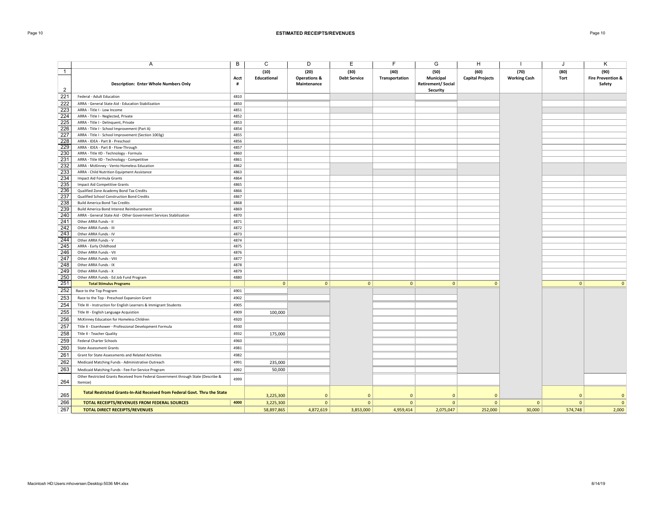## Page 10 **ESTIMATED RECEIPTS/REVENUES** Page 10

|                | Α                                                                                              | B            | С                  | D                       | Ε                   | F              | G                        | H                       |                     | J.             | Κ                            |
|----------------|------------------------------------------------------------------------------------------------|--------------|--------------------|-------------------------|---------------------|----------------|--------------------------|-------------------------|---------------------|----------------|------------------------------|
| $\overline{1}$ |                                                                                                |              | (10)               | (20)                    | (30)                | (40)           | (50)                     | (60)                    | (70)                | (80)           | (90)                         |
|                |                                                                                                | Acct         | <b>Educational</b> | <b>Operations &amp;</b> | <b>Debt Service</b> | Transportation | Municipal                | <b>Capital Projects</b> | <b>Working Cash</b> | Tort           | <b>Fire Prevention &amp;</b> |
|                | <b>Description: Enter Whole Numbers Only</b>                                                   | #            |                    | Maintenance             |                     |                | <b>Retirement/Social</b> |                         |                     |                | Safety                       |
| $\overline{2}$ |                                                                                                |              |                    |                         |                     |                | Security                 |                         |                     |                |                              |
| 221            | Federal - Adult Education                                                                      | 4810         |                    |                         |                     |                |                          |                         |                     |                |                              |
| 222            | ARRA - General State Aid - Education Stabilization                                             | 4850         |                    |                         |                     |                |                          |                         |                     |                |                              |
| 223            | ARRA - Title I - Low Income                                                                    | 4851         |                    |                         |                     |                |                          |                         |                     |                |                              |
| 224            | ARRA - Title I - Neglected, Private                                                            | 4852         |                    |                         |                     |                |                          |                         |                     |                |                              |
| 225            | ARRA - Title I - Delinquent, Private                                                           | 4853         |                    |                         |                     |                |                          |                         |                     |                |                              |
| 226            | ARRA - Title I - School Improvement (Part A)                                                   | 4854         |                    |                         |                     |                |                          |                         |                     |                |                              |
| 227            | ARRA - Title I - School Improvement (Section 1003g)                                            | 4855         |                    |                         |                     |                |                          |                         |                     |                |                              |
| 228            | ARRA - IDEA - Part B - Preschool                                                               | 4856         |                    |                         |                     |                |                          |                         |                     |                |                              |
| 229            | ARRA - IDEA - Part B - Flow-Through                                                            | 4857         |                    |                         |                     |                |                          |                         |                     |                |                              |
| 230            | ARRA - Title IID - Technology - Formula                                                        | 4860         |                    |                         |                     |                |                          |                         |                     |                |                              |
| 231<br>232     | ARRA - Title IID - Technology - Competitive                                                    | 4861         |                    |                         |                     |                |                          |                         |                     |                |                              |
| 233            | ARRA - McKinney - Vento Homeless Education<br>ARRA - Child Nutrition Equipment Assistance      | 4862<br>4863 |                    |                         |                     |                |                          |                         |                     |                |                              |
| 234            |                                                                                                | 4864         |                    |                         |                     |                |                          |                         |                     |                |                              |
| 235            | Impact Aid Formula Grants<br><b>Impact Aid Competitive Grants</b>                              | 4865         |                    |                         |                     |                |                          |                         |                     |                |                              |
| 236            | Qualified Zone Academy Bond Tax Credits                                                        | 4866         |                    |                         |                     |                |                          |                         |                     |                |                              |
| 237            | Qualified School Construction Bond Credits                                                     | 4867         |                    |                         |                     |                |                          |                         |                     |                |                              |
| 238            | <b>Build America Bond Tax Credits</b>                                                          | 4868         |                    |                         |                     |                |                          |                         |                     |                |                              |
| 239            | Build America Bond Interest Reimbursement                                                      | 4869         |                    |                         |                     |                |                          |                         |                     |                |                              |
| 240            | ARRA - General State Aid - Other Government Services Stabilization                             | 4870         |                    |                         |                     |                |                          |                         |                     |                |                              |
| 241            | Other ARRA Funds - II                                                                          | 4871         |                    |                         |                     |                |                          |                         |                     |                |                              |
| 242            | Other ARRA Funds - III                                                                         | 4872         |                    |                         |                     |                |                          |                         |                     |                |                              |
| 243            | Other ARRA Funds - IV                                                                          | 4873         |                    |                         |                     |                |                          |                         |                     |                |                              |
| 244            | Other ARRA Funds - V                                                                           | 4874         |                    |                         |                     |                |                          |                         |                     |                |                              |
| 245            | ARRA - Early Childhood                                                                         | 4875         |                    |                         |                     |                |                          |                         |                     |                |                              |
| 246            | Other ARRA Funds - VII                                                                         | 4876         |                    |                         |                     |                |                          |                         |                     |                |                              |
| 247            | Other ARRA Funds - VIII                                                                        | 4877         |                    |                         |                     |                |                          |                         |                     |                |                              |
| 248            | Other ARRA Funds - IX                                                                          | 4878         |                    |                         |                     |                |                          |                         |                     |                |                              |
| 249            | Other ARRA Funds - X                                                                           | 4879         |                    |                         |                     |                |                          |                         |                     |                |                              |
| 250            | Other ARRA Funds - Ed Job Fund Program                                                         | 4880         |                    |                         |                     |                |                          |                         |                     |                |                              |
| 251            | <b>Total Stimulus Programs</b>                                                                 |              | $\circ$            | $\mathbf{0}$            | $\mathbf{0}$        | $\mathbf{0}$   | $\mathbf{0}$             | $\overline{0}$          |                     | $\mathbf{0}$   | $\Omega$                     |
| 252            | Race to the Top Program                                                                        | 4901         |                    |                         |                     |                |                          |                         |                     |                |                              |
| 253            | Race to the Top - Preschool Expansion Grant                                                    | 4902         |                    |                         |                     |                |                          |                         |                     |                |                              |
| 254            | Title III - Instruction for English Learners & Immigrant Students                              | 4905         |                    |                         |                     |                |                          |                         |                     |                |                              |
| 255            | Title III - English Language Acquistion                                                        | 4909         | 100,000            |                         |                     |                |                          |                         |                     |                |                              |
| 256            | McKinney Education for Homeless Children                                                       | 4920         |                    |                         |                     |                |                          |                         |                     |                |                              |
| 257            | Title II - Eisenhower - Professional Development Formula                                       | 4930         |                    |                         |                     |                |                          |                         |                     |                |                              |
| 258            | Title II - Teacher Quality                                                                     | 4932         | 175,000            |                         |                     |                |                          |                         |                     |                |                              |
| 259            | <b>Federal Charter Schools</b>                                                                 | 4960         |                    |                         |                     |                |                          |                         |                     |                |                              |
| 260            | <b>State Assessment Grants</b>                                                                 | 4981         |                    |                         |                     |                |                          |                         |                     |                |                              |
|                |                                                                                                |              |                    |                         |                     |                |                          |                         |                     |                |                              |
| 261            | Grant for State Assessments and Related Activities                                             | 4982         |                    |                         |                     |                |                          |                         |                     |                |                              |
| 262            | Medicaid Matching Funds - Administrative Outreach                                              | 4991         | 235,000            |                         |                     |                |                          |                         |                     |                |                              |
| 263            | Medicaid Matching Funds - Fee-For-Service Program                                              | 4992         | 50,000             |                         |                     |                |                          |                         |                     |                |                              |
| 264            | Other Restricted Grants Received from Federal Government through State (Describe &<br>Itemize) | 4999         |                    |                         |                     |                |                          |                         |                     |                |                              |
| 265            | Total Restricted Grants-In-Aid Received from Federal Govt. Thru the State                      |              | 3,225,300          | $\mathbf 0$             | $\mathbf{0}$        | $\mathbf 0$    | $\mathbf{0}$             | $\overline{0}$          |                     | $\mathbf{0}$   | $\mathbf{0}$                 |
| 266            | TOTAL RECEIPTS/REVENUES FROM FEDERAL SOURCES                                                   | 4000         | 3,225,300          | $\mathbf{0}$            | $\mathbf{0}$        | $\mathbf{0}$   | $\overline{0}$           | $\mathbf{0}$            | 0                   | $\overline{0}$ | $\mathbf{0}$                 |
| 267            | <b>TOTAL DIRECT RECEIPTS/REVENUES</b>                                                          |              | 58,897,865         | 4,872,619               | 3,853,000           | 4,959,414      | 2,075,047                | 252,000                 | 30,000              | 574,748        | 2.000                        |
|                |                                                                                                |              |                    |                         |                     |                |                          |                         |                     |                |                              |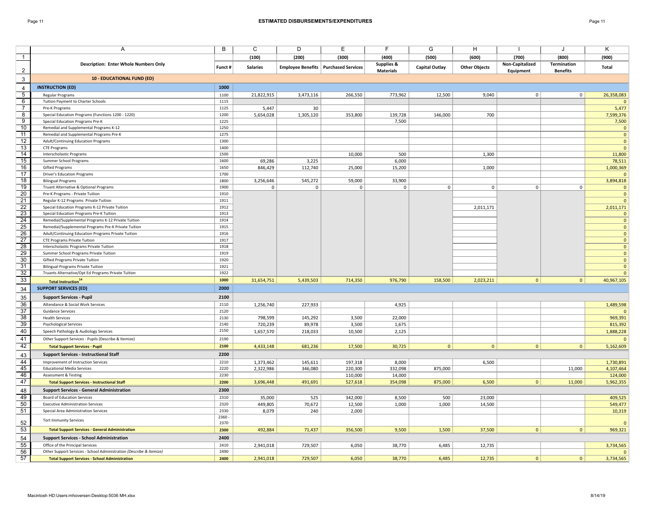|                           | Α                                                                               | B            | C                  | D                 | Е                                             | F                     | G                     | н                    |                 | J                  | Κ                            |
|---------------------------|---------------------------------------------------------------------------------|--------------|--------------------|-------------------|-----------------------------------------------|-----------------------|-----------------------|----------------------|-----------------|--------------------|------------------------------|
| $\mathbf{1}$              |                                                                                 |              | (100)              | (200)             | (300)                                         | (400)                 | (500)                 | (600)                | (700)           | (800)              | (900)                        |
|                           | <b>Description: Enter Whole Numbers Only</b>                                    |              |                    |                   |                                               | <b>Supplies &amp;</b> |                       |                      | Non-Capitalized | <b>Termination</b> |                              |
| $\overline{2}$            |                                                                                 | Funct #      | <b>Salaries</b>    |                   | <b>Employee Benefits   Purchased Services</b> | <b>Materials</b>      | <b>Capital Outlay</b> | <b>Other Objects</b> | Equipment       | <b>Benefits</b>    | Total                        |
| $\ensuremath{\mathsf{3}}$ | <b>10 - EDUCATIONAL FUND (ED)</b>                                               |              |                    |                   |                                               |                       |                       |                      |                 |                    |                              |
| 4                         | <b>INSTRUCTION (ED)</b>                                                         | 1000         |                    |                   |                                               |                       |                       |                      |                 |                    |                              |
| $\overline{5}$            | <b>Regular Programs</b>                                                         | 1100         | 21,822,915         | 3,473,116         | 266,550                                       | 773,962               | 12,500                | 9,040                | $\mathbf 0$     | 0                  | 26,358,083                   |
| 6                         | Tuition Payment to Charter Schools                                              | 1115         |                    |                   |                                               |                       |                       |                      |                 |                    |                              |
| $\overline{7}$            | Pre-K Programs                                                                  | 1125         | 5,447              | 30                |                                               |                       |                       |                      |                 |                    | 5,477                        |
| $\overline{8}$            | Special Education Programs (Functions 1200 - 1220)                              | 1200         | 5,654,028          | 1,305,120         | 353,800                                       | 139,728               | 146,000               | 700                  |                 |                    | 7,599,376                    |
| $\overline{9}$            | Special Education Programs Pre-K                                                | 1225         |                    |                   |                                               | 7,500                 |                       |                      |                 |                    | 7,500                        |
| 10                        | Remedial and Supplemental Programs K-12                                         | 1250         |                    |                   |                                               |                       |                       |                      |                 |                    | $\Omega$                     |
| $\overline{11}$           | Remedial and Supplemental Programs Pre-K                                        | 1275         |                    |                   |                                               |                       |                       |                      |                 |                    | $\Omega$                     |
| 12                        | Adult/Continuing Education Programs                                             | 1300         |                    |                   |                                               |                       |                       |                      |                 |                    | $\overline{0}$               |
| $\overline{13}$           | <b>CTE Programs</b>                                                             | 1400         |                    |                   |                                               |                       |                       |                      |                 |                    | $\Omega$                     |
| 14                        | Interscholastic Programs                                                        | 1500         |                    |                   | 10,000                                        | 500                   |                       | 1,300                |                 |                    | 11,800                       |
| 15                        | Summer School Programs                                                          | 1600         | 69,286             | 3,225             |                                               | 6,000                 |                       |                      |                 |                    | 78,511                       |
| $\overline{16}$           | <b>Gifted Programs</b>                                                          | 1650         | 846,429            | 112,740           | 25,000                                        | 15,200                |                       | 1,000                |                 |                    | 1,000,369                    |
| $\overline{17}$           | <b>Driver's Education Programs</b>                                              | 1700         |                    |                   |                                               |                       |                       |                      |                 |                    | $\Omega$                     |
| $\overline{18}$           | <b>Bilingual Programs</b>                                                       | 1800         | 3,256,646          | 545,272           | 59,000                                        | 33,900                |                       |                      |                 |                    | 3,894,818                    |
| 19                        | Truant Alternative & Optional Programs                                          | 1900         | $\mathbf{0}$       | $\mathbf 0$       | $\mathbf 0$                                   | $\mathbf 0$           | 0                     | $\mathbf 0$          | $\mathsf 0$     | $\mathbf{0}$       | $\overline{0}$               |
| $\overline{20}$           | Pre-K Programs - Private Tuition                                                | 1910         |                    |                   |                                               |                       |                       |                      |                 |                    | $\mathbf 0$                  |
| 21                        | Regular K-12 Programs Private Tuition                                           | 1911         |                    |                   |                                               |                       |                       |                      |                 |                    | $\mathbf{0}$                 |
| 22                        | Special Education Programs K-12 Private Tuition                                 | 1912         |                    |                   |                                               |                       |                       | 2,011,171            |                 |                    | 2,011,171                    |
| $\overline{23}$           | Special Education Programs Pre-K Tuition                                        | 1913         |                    |                   |                                               |                       |                       |                      |                 |                    | $\mathbf{0}$                 |
| 24                        | Remedial/Supplemental Programs K-12 Private Tuition                             | 1914         |                    |                   |                                               |                       |                       |                      |                 |                    | $\mathbf{0}$                 |
| $\frac{25}{26}$           | Remedial/Supplemental Programs Pre-K Private Tuition                            | 1915         |                    |                   |                                               |                       |                       |                      |                 |                    | $\mathbf{0}$                 |
| $\overline{27}$           | Adult/Continuing Education Programs Private Tuition                             | 1916<br>1917 |                    |                   |                                               |                       |                       |                      |                 |                    | $\mathbf{0}$                 |
| $\overline{28}$           | <b>CTE Programs Private Tuition</b><br>Interscholastic Programs Private Tuition | 1918         |                    |                   |                                               |                       |                       |                      |                 |                    | $\mathbf{0}$<br>$\mathbf{0}$ |
| $\overline{29}$           | Summer School Programs Private Tuition                                          | 1919         |                    |                   |                                               |                       |                       |                      |                 |                    | $\mathbf{0}$                 |
| 30                        | Gifted Programs Private Tuition                                                 | 1920         |                    |                   |                                               |                       |                       |                      |                 |                    | $\mathbf{0}$                 |
| 31                        | <b>Bilingual Programs Private Tuition</b>                                       | 1921         |                    |                   |                                               |                       |                       |                      |                 |                    | $\mathbf{0}$                 |
| 32                        | Truants Alternative/Opt Ed Programs Private Tuition                             | 1922         |                    |                   |                                               |                       |                       |                      |                 |                    | $\mathbf{0}$                 |
| 33                        | Total Instruction <sup>14</sup>                                                 | 1000         | 31,654,751         | 5,439,503         | 714,350                                       | 976,790               | 158,500               | 2,023,211            | $\mathbf{0}$    | 0                  | 40,967,105                   |
| 34                        | <b>SUPPORT SERVICES (ED)</b>                                                    | 2000         |                    |                   |                                               |                       |                       |                      |                 |                    |                              |
|                           |                                                                                 |              |                    |                   |                                               |                       |                       |                      |                 |                    |                              |
| 35                        | <b>Support Services - Pupil</b>                                                 | 2100         |                    |                   |                                               |                       |                       |                      |                 |                    |                              |
| 36<br>$\overline{37}$     | Attendance & Social Work Services<br><b>Guidance Services</b>                   | 2110<br>2120 | 1,256,740          | 227,933           |                                               | 4,925                 |                       |                      |                 |                    | 1,489,598                    |
| $\overline{38}$           |                                                                                 | 2130         |                    |                   |                                               |                       |                       |                      |                 |                    | $\Omega$                     |
| $\overline{39}$           | <b>Health Services</b><br><b>Psychological Services</b>                         | 2140         | 798,599<br>720,239 | 145,292<br>89,978 | 3,500                                         | 22,000                |                       |                      |                 |                    | 969,391                      |
| 40                        | Speech Pathology & Audiology Services                                           | 2150         |                    | 218,033           | 3,500<br>10,500                               | 1,675<br>2,125        |                       |                      |                 |                    | 815,392<br>1,888,228         |
| 41                        |                                                                                 |              | 1,657,570          |                   |                                               |                       |                       |                      |                 |                    |                              |
| 42                        | Other Support Services - Pupils (Describe & Itemize)                            | 2190<br>2100 |                    |                   |                                               |                       |                       |                      |                 |                    | $\Omega$                     |
|                           | <b>Total Support Services - Pupil</b>                                           |              | 4,433,148          | 681,236           | 17,500                                        | 30,725                | $\mathbf{0}$          | $\mathbf{0}$         | $\mathbf{0}$    | $\overline{0}$     | 5,162,609                    |
| 43                        | <b>Support Services - Instructional Staff</b>                                   | 2200         |                    |                   |                                               |                       |                       |                      |                 |                    |                              |
| 44                        | Improvement of Instruction Services                                             | 2210         | 1,373,462          | 145,611           | 197,318                                       | 8,000                 |                       | 6,500                |                 |                    | 1,730,891                    |
| 45                        | <b>Educational Media Services</b>                                               | 2220         | 2,322,986          | 346,080           | 220,300                                       | 332,098               | 875,000               |                      |                 | 11,000             | 4,107,464                    |
| 46                        | <b>Assessment &amp; Testing</b>                                                 | 2230         |                    |                   | 110,000                                       | 14,000                |                       |                      |                 |                    | 124,000                      |
| 47                        | <b>Total Support Services - Instructional Staff</b>                             | 2200         | 3,696,448          | 491,691           | 527,618                                       | 354,098               | 875,000               | 6,500                | $\mathbf{0}$    | 11,000             | 5,962,355                    |
| 48                        | <b>Support Services - General Administration</b>                                | 2300         |                    |                   |                                               |                       |                       |                      |                 |                    |                              |
| 49                        | Board of Education Services                                                     | 2310         | 35,000             | 525               | 342,000                                       | 8,500                 | 500                   | 23,000               |                 |                    | 409,525                      |
| 50                        | <b>Executive Administration Services</b>                                        | 2320         | 449,805            | 70,672            | 12,500                                        | 1,000                 | 1,000                 | 14,500               |                 |                    | 549,477                      |
| 51                        | Special Area Administration Services                                            | 2330         | 8,079              | 240               | 2,000                                         |                       |                       |                      |                 |                    | 10,319                       |
| 52                        | <b>Tort Immunity Services</b>                                                   | 2360<br>2370 |                    |                   |                                               |                       |                       |                      |                 |                    | $\Omega$                     |
| 53                        | <b>Total Support Services - General Administration</b>                          | 2300         | 492,884            | 71,437            | 356,500                                       | 9,500                 | 1,500                 | 37,500               | $\mathbf{0}$    | $\overline{0}$     | 969,321                      |
| 54                        | <b>Support Services - School Administration</b>                                 | 2400         |                    |                   |                                               |                       |                       |                      |                 |                    |                              |
| 55                        | Office of the Principal Services                                                | 2410         | 2,941,018          | 729,507           | 6,050                                         | 38,770                | 6,485                 | 12,735               |                 |                    | 3,734,565                    |
| 56                        | Other Support Services - School Administration (Describe & Itemize)             | 2490         |                    |                   |                                               |                       |                       |                      |                 |                    | $\Omega$                     |
| 57                        | <b>Total Support Services - School Administration</b>                           | 2400         | 2,941,018          | 729,507           | 6,050                                         | 38,770                | 6,485                 | 12,735               | $\mathbf{0}$    | $\overline{0}$     | 3,734,565                    |
|                           |                                                                                 |              |                    |                   |                                               |                       |                       |                      |                 |                    |                              |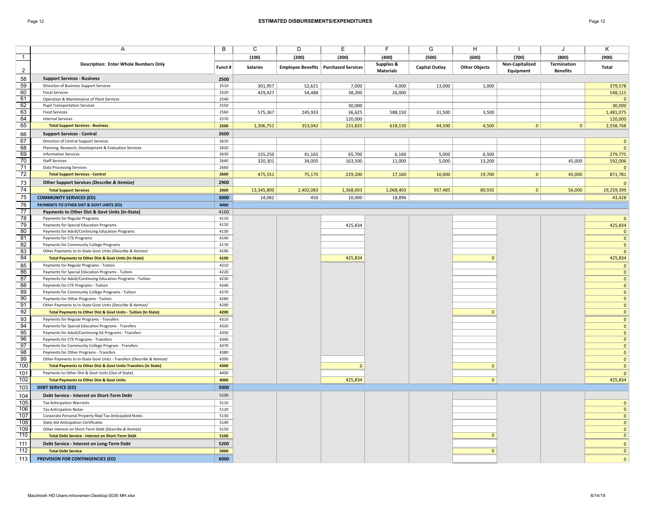|                 | Α                                                                                    | В            | C               | D         | Ε                                             | F                     | G                     | н                    |                 | J               | Κ                       |
|-----------------|--------------------------------------------------------------------------------------|--------------|-----------------|-----------|-----------------------------------------------|-----------------------|-----------------------|----------------------|-----------------|-----------------|-------------------------|
| $\overline{1}$  |                                                                                      |              | (100)           | (200)     | (300)                                         | (400)                 | (500)                 | (600)                | (700)           | (800)           | (900)                   |
|                 | <b>Description: Enter Whole Numbers Only</b>                                         |              |                 |           |                                               | <b>Supplies &amp;</b> |                       |                      | Non-Capitalized | Termination     |                         |
| $\overline{2}$  |                                                                                      | Funct #      | <b>Salaries</b> |           | <b>Employee Benefits   Purchased Services</b> | <b>Materials</b>      | <b>Capital Outlay</b> | <b>Other Objects</b> | Equipment       | <b>Benefits</b> | Total                   |
| 58              | <b>Support Services - Business</b>                                                   | 2500         |                 |           |                                               |                       |                       |                      |                 |                 |                         |
| 59              | Direction of Business Support Services                                               | 2510         | 301,957         | 52,621    | 7,000                                         | 4,000                 | 13,000                | 1,000                |                 |                 | 379,578                 |
| 60              | <b>Fiscal Services</b>                                                               | 2520         | 429,427         | 54,488    | 38,200                                        | 26,000                |                       |                      |                 |                 | 548,115                 |
| 61              | Operation & Maintenance of Plant Services                                            | 2540         |                 |           |                                               |                       |                       |                      |                 |                 | $\mathbf{0}$            |
| 62              | <b>Pupil Transportation Services</b>                                                 | 2550         |                 |           | 30,000                                        |                       |                       |                      |                 |                 | 30,000                  |
| 63              | <b>Food Services</b>                                                                 | 2560         | 575,367         | 245,933   | 36,625                                        | 588,150               | 31,500                | 3,500                |                 |                 | 1,481,075               |
| 64<br>65        | <b>Internal Services</b>                                                             | 2570         |                 |           | 120,000                                       |                       |                       |                      | $\mathbf{0}$    | $\mathbf{0}$    | 120,000                 |
|                 | <b>Total Support Services - Business</b>                                             | 2500<br>2600 | 1,306,751       | 353,042   | 231,825                                       | 618,150               | 44,500                | 4,500                |                 |                 | 2,558,768               |
| 66<br>67        | <b>Support Services - Central</b>                                                    |              |                 |           |                                               |                       |                       |                      |                 |                 |                         |
|                 | Direction of Central Support Services                                                | 2610<br>2620 |                 |           |                                               |                       |                       |                      |                 |                 | $\mathbf{0}$            |
| 68<br>69        | Planning, Research, Development & Evaluation Services<br><b>Information Services</b> | 2630         | 155,250         | 41,165    | 65,700                                        | 6,160                 | 5,000                 | 6,500                |                 |                 | $\mathbf 0$             |
| 70              | <b>Staff Services</b>                                                                | 2640         | 320,301         | 34,005    | 163,500                                       | 11,000                | 5,000                 | 13,200               |                 | 45,000          | 279,775<br>592,006      |
| 71              | <b>Data Processing Services</b>                                                      | 2660         |                 |           |                                               |                       |                       |                      |                 |                 | $\mathbf{0}$            |
| 72              | <b>Total Support Services - Central</b>                                              | 2600         | 475,551         | 75,170    | 229,200                                       | 17,160                | 10,000                | 19,700               | $\mathbf{0}$    | 45,000          | 871,781                 |
| 73              | Other Support Services (Describe & Itemize)                                          | 2900         |                 |           |                                               |                       |                       |                      |                 |                 |                         |
| 74              |                                                                                      |              |                 |           |                                               |                       |                       |                      | $\mathbf{0}$    |                 | $\mathbf{0}$            |
|                 | <b>Total Support Services</b>                                                        | 2000         | 13,345,800      | 2,402,083 | 1,368,693                                     | 1,068,403             | 937,485               | 80,935               |                 | 56,000          | 19,259,399              |
| 75              | <b>COMMUNITY SERVICES (ED)</b>                                                       | 3000         | 14,082          | 450       | 10,000                                        | 18,896                |                       |                      |                 |                 | 43,428                  |
| 76              | PAYMENTS TO OTHER DIST & GOVT UNITS (ED)                                             | 4000         |                 |           |                                               |                       |                       |                      |                 |                 |                         |
| 77              | Payments to Other Dist & Govt Units (In-State)                                       | 4100         |                 |           |                                               |                       |                       |                      |                 |                 |                         |
| 78<br>79        | Payments for Regular Programs                                                        | 4110<br>4120 |                 |           |                                               |                       |                       |                      |                 |                 | $\mathbf{0}$            |
| 80              | Payments for Special Education Programs                                              | 4130         |                 |           | 425,834                                       |                       |                       |                      |                 |                 | 425,834<br>$\mathbf{0}$ |
| 81              | Payments for Adult/Continuing Education Programs<br>Payments for CTE Programs        | 4140         |                 |           |                                               |                       |                       |                      |                 |                 | $\mathbf 0$             |
| 82              | Payments for Community College Programs                                              | 4170         |                 |           |                                               |                       |                       |                      |                 |                 | $\mathbf{0}$            |
| 83              | Other Payments to In-State Govt Units (Describe & Itemize)                           | 4190         |                 |           |                                               |                       |                       |                      |                 |                 | $\mathbf 0$             |
| 84              | <b>Total Payments to Other Dist &amp; Govt Units (In-State)</b>                      | 4100         |                 |           | 425,834                                       |                       |                       | $\Omega$             |                 |                 | 425,834                 |
| 85              | Payments for Regular Programs - Tuition                                              | 4210         |                 |           |                                               |                       |                       |                      |                 |                 | $\mathbf{0}$            |
| 86              | Payments for Special Education Programs - Tuition                                    | 4220         |                 |           |                                               |                       |                       |                      |                 |                 | $\mathbf 0$             |
| 87              | Payments for Adult/Continuing Education Programs - Tuition                           | 4230         |                 |           |                                               |                       |                       |                      |                 |                 | $\mathbf{0}$            |
| 88              | Payments for CTE Programs - Tuition                                                  | 4240         |                 |           |                                               |                       |                       |                      |                 |                 | $\mathbf 0$             |
| 89              | Payments for Community College Programs - Tuition                                    | 4270         |                 |           |                                               |                       |                       |                      |                 |                 | $\mathbf 0$             |
| 90              | Payments for Other Programs - Tuition                                                | 4280         |                 |           |                                               |                       |                       |                      |                 |                 | $\mathbf{0}$            |
| 91              | Other Payments to In-State Govt Units (Describe & Itemize)                           | 4290         |                 |           |                                               |                       |                       |                      |                 |                 | $\mathbf{0}$            |
| 92              | <b>Total Payments to Other Dist &amp; Govt Units - Tuition (In State)</b>            | 4200         |                 |           |                                               |                       |                       | $\Omega$             |                 |                 | $\mathbf{0}$            |
| 93              | Payments for Regular Programs - Transfers                                            | 4310         |                 |           |                                               |                       |                       |                      |                 |                 | $\mathbf{0}$            |
| 94              | Payments for Special Education Programs - Transfers                                  | 4320         |                 |           |                                               |                       |                       |                      |                 |                 | $\mathbf 0$             |
| $\overline{95}$ | Payments for Adult/Continuing Ed Programs - Transfers                                | 4330         |                 |           |                                               |                       |                       |                      |                 |                 | $\mathbf{0}$            |
| $\overline{96}$ | Payments for CTE Programs - Transfers                                                | 4340         |                 |           |                                               |                       |                       |                      |                 |                 | $\mathbf{0}$            |
| 97              | Payments for Community College Program - Transfers                                   | 4370         |                 |           |                                               |                       |                       |                      |                 |                 | $\mathbf 0$             |
| $\overline{98}$ | Payments for Other Programs - Transfers                                              | 4380         |                 |           |                                               |                       |                       |                      |                 |                 | $\mathbf{0}$            |
| 99              | Other Payments to In-State Govt Units - Transfers (Describe & Itemize)               | 4390         |                 |           |                                               |                       |                       |                      |                 |                 | $\mathbf{0}$            |
| 100             | Total Payments to Other Dist & Govt Units-Transfers (In State)                       | 4300         |                 |           | $\Omega$                                      |                       |                       | $\Omega$             |                 |                 | $\mathbf 0$             |
| 101             | Payments to Other Dist & Govt Units (Out of State)                                   | 4400         |                 |           |                                               |                       |                       |                      |                 |                 | $\mathbf{0}$            |
| 102             | <b>Total Payments to Other Dist &amp; Govt Units</b>                                 | 4000         |                 |           | 425,834                                       |                       |                       | $\mathbf{0}$         |                 |                 | 425,834                 |
| 103             | <b>DEBT SERVICE (ED)</b>                                                             | 5000         |                 |           |                                               |                       |                       |                      |                 |                 |                         |
| 104             | Debt Service - Interest on Short-Term Debt                                           | 5100         |                 |           |                                               |                       |                       |                      |                 |                 |                         |
| 105             | <b>Tax Anticipation Warrants</b>                                                     | 5110         |                 |           |                                               |                       |                       |                      |                 |                 | $\mathbf{0}$            |
| 106             | <b>Tax Anticipation Notes</b>                                                        | 5120         |                 |           |                                               |                       |                       |                      |                 |                 | $\mathbf 0$             |
| 107             | Corporate Personal Property Repl Tax Anticipated Notes                               | 5130         |                 |           |                                               |                       |                       |                      |                 |                 | $\mathbf{0}$            |
| 108             | <b>State Aid Anticipation Certificates</b>                                           | 5140         |                 |           |                                               |                       |                       |                      |                 |                 | $\mathbf{0}$            |
| 109             | Other Interest on Short-Term Debt (Describe & Itemize)                               | 5150         |                 |           |                                               |                       |                       |                      |                 |                 | $\mathbf{0}$            |
| 110             | <b>Total Debt Service - Interest on Short-Term Debt</b>                              | 5100         |                 |           |                                               |                       |                       | $\Omega$             |                 |                 | $\overline{0}$          |
| 111             | Debt Service - Interest on Long-Term Debt                                            | 5200         |                 |           |                                               |                       |                       |                      |                 |                 | $\mathbf{0}$            |
| 112             | <b>Total Debt Service</b>                                                            | 5000         |                 |           |                                               |                       |                       | $\overline{0}$       |                 |                 | $\overline{0}$          |
| 113             | <b>PROVISION FOR CONTINGENCIES (ED)</b>                                              | 6000         |                 |           |                                               |                       |                       |                      |                 |                 | $\mathbf{0}$            |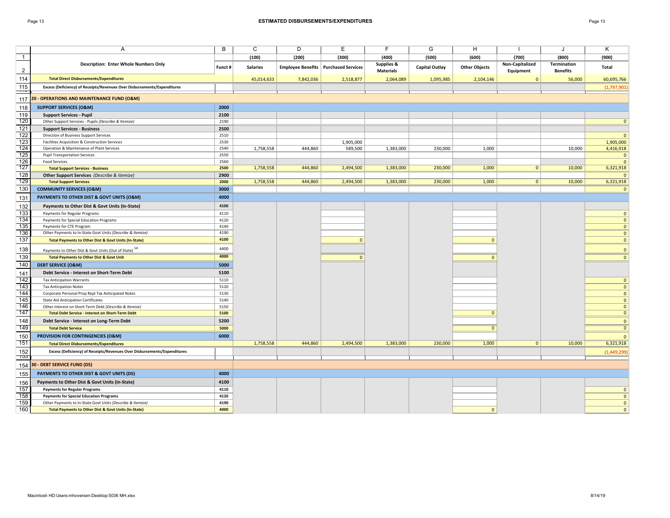|                  | A                                                                        | B            | C               | D         | E.                                            | F                | G                     | н                    |                 | J                  | κ                            |
|------------------|--------------------------------------------------------------------------|--------------|-----------------|-----------|-----------------------------------------------|------------------|-----------------------|----------------------|-----------------|--------------------|------------------------------|
| $\overline{1}$   |                                                                          |              | (100)           | (200)     | (300)                                         | (400)            | (500)                 | (600)                | (700)           | (800)              | (900)                        |
|                  | <b>Description: Enter Whole Numbers Only</b>                             | Funct #      | <b>Salaries</b> |           | <b>Employee Benefits   Purchased Services</b> | Supplies &       | <b>Capital Outlay</b> | <b>Other Objects</b> | Non-Capitalized | <b>Termination</b> | Total                        |
| $\overline{2}$   |                                                                          |              |                 |           |                                               | <b>Materials</b> |                       |                      | Equipment       | <b>Benefits</b>    |                              |
| 114              | <b>Total Direct Disbursements/Expenditures</b>                           |              | 45,014,633      | 7,842,036 | 2,518,877                                     | 2,064,089        | 1,095,985             | 2,104,146            | $\mathbf{0}$    | 56,000             | 60,695,766                   |
| 115<br>---       | Excess (Deficiency) of Receipts/Revenues Over Disbursements/Expenditures |              |                 |           |                                               |                  |                       |                      |                 |                    | (1,797,901)                  |
| 117              | 20 - OPERATIONS AND MAINTENANCE FUND (O&M)                               |              |                 |           |                                               |                  |                       |                      |                 |                    |                              |
| 118              | <b>SUPPORT SERVICES (O&amp;M)</b>                                        | 2000         |                 |           |                                               |                  |                       |                      |                 |                    |                              |
| 119              | <b>Support Services - Pupil</b>                                          | 2100         |                 |           |                                               |                  |                       |                      |                 |                    |                              |
| 120              | Other Support Services - Pupils (Describe & Itemize)                     | 2190         |                 |           |                                               |                  |                       |                      |                 |                    | $\Omega$                     |
| $\frac{1}{121}$  | <b>Support Services - Business</b>                                       | 2500         |                 |           |                                               |                  |                       |                      |                 |                    |                              |
| 122              | Direction of Business Support Services                                   | 2510         |                 |           |                                               |                  |                       |                      |                 |                    | $\mathbf{0}$                 |
| $\overline{123}$ | Facilities Acquisition & Construction Services                           | 2530         |                 |           | 1,905,000                                     |                  |                       |                      |                 |                    | 1,905,000                    |
| $\overline{124}$ | Operation & Maintenance of Plant Services                                | 2540         | 1,758,558       | 444,860   | 589,500                                       | 1,383,000        | 230,000               | 1,000                |                 | 10,000             | 4,416,918                    |
| 125<br>126       | <b>Pupil Transportation Services</b><br><b>Food Services</b>             | 2550<br>2560 |                 |           |                                               |                  |                       |                      |                 |                    | $\mathbf{0}$<br>$\mathbf{0}$ |
| $\overline{127}$ | <b>Total Support Services - Business</b>                                 | 2500         | 1,758,558       | 444,860   | 2,494,500                                     | 1,383,000        | 230,000               | 1,000                | $\mathbf{0}$    | 10,000             | 6,321,918                    |
| 128              | <b>Other Support Services</b> (Describe & Itemize)                       | 2900         |                 |           |                                               |                  |                       |                      |                 |                    | $\mathbf{0}$                 |
| 129              | <b>Total Support Services</b>                                            | 2000         | 1,758,558       | 444,860   | 2,494,500                                     | 1,383,000        | 230,000               | 1,000                | $\overline{0}$  | 10,000             | 6,321,918                    |
| 130              | <b>COMMUNITY SERVICES (O&amp;M)</b>                                      | 3000         |                 |           |                                               |                  |                       |                      |                 |                    | $\Omega$                     |
| 131              | PAYMENTS TO OTHER DIST & GOVT UNITS (O&M)                                | 4000         |                 |           |                                               |                  |                       |                      |                 |                    |                              |
| 132              | Payments to Other Dist & Govt Units (In-State)                           | 4100         |                 |           |                                               |                  |                       |                      |                 |                    |                              |
| $\overline{133}$ | Payments for Regular Programs                                            | 4110         |                 |           |                                               |                  |                       |                      |                 |                    | $\mathbf 0$                  |
| 134              | Payments for Special Education Programs                                  | 4120         |                 |           |                                               |                  |                       |                      |                 |                    | $\mathbf{0}$                 |
| $\overline{135}$ | Payments for CTE Program                                                 | 4140         |                 |           |                                               |                  |                       |                      |                 |                    | $\mathbf 0$                  |
| 136              | Other Payments to In-State Govt Units (Describe & Itemize)               | 4190         |                 |           |                                               |                  |                       |                      |                 |                    | $\mathbf{0}$                 |
| 137              | <b>Total Payments to Other Dist &amp; Govt Units (In-State)</b>          | 4100         |                 |           | $\mathbf{0}$                                  |                  |                       | $\mathbf{0}$         |                 |                    | $\mathbf{0}$                 |
| 138              | Payments to Other Dist & Govt Units (Out of State) <sup>14</sup>         | 4400         |                 |           |                                               |                  |                       |                      |                 |                    | $\mathbf{0}$                 |
| 139              | <b>Total Payments to Other Dist &amp; Govt Unit</b>                      | 4000         |                 |           | $\Omega$                                      |                  |                       | $\Omega$             |                 |                    | $\mathbf{0}$                 |
| 140              | <b>DEBT SERVICE (O&amp;M)</b>                                            | 5000         |                 |           |                                               |                  |                       |                      |                 |                    |                              |
| 141              | Debt Service - Interest on Short-Term Debt                               | 5100         |                 |           |                                               |                  |                       |                      |                 |                    |                              |
| $\frac{1}{142}$  | <b>Tax Anticipation Warrants</b>                                         | 5110         |                 |           |                                               |                  |                       |                      |                 |                    | $\mathbf{0}$                 |
| 143              | <b>Tax Anticipation Notes</b>                                            | 5120         |                 |           |                                               |                  |                       |                      |                 |                    | $\mathbf{0}$                 |
| 144              | Corporate Personal Prop Repl Tax Anticipated Notes                       | 5130         |                 |           |                                               |                  |                       |                      |                 |                    | $\mathbf 0$                  |
| 145              | <b>State Aid Anticipation Certificates</b>                               | 5140         |                 |           |                                               |                  |                       |                      |                 |                    | $\mathbf{0}$                 |
| 146              | Other Interest on Short-Term Debt (Describe & Itemize)                   | 5150         |                 |           |                                               |                  |                       |                      |                 |                    | $\mathbf 0$                  |
| 147              | <b>Total Debt Service - Interest on Short-Term Debt</b>                  | 5100         |                 |           |                                               |                  |                       | $\mathbf{0}$         |                 |                    | $\mathbf{0}$                 |
| 148              | Debt Service - Interest on Long-Term Debt                                | 5200         |                 |           |                                               |                  |                       |                      |                 |                    | $\mathbf{0}$                 |
| 149              | <b>Total Debt Service</b>                                                | 5000         |                 |           |                                               |                  |                       | $\overline{0}$       |                 |                    | $\overline{0}$               |
| 150              | <b>PROVISION FOR CONTINGENCIES (O&amp;M)</b>                             | 6000         |                 |           |                                               |                  |                       |                      |                 |                    | $\mathbf{0}$                 |
| $\overline{151}$ | <b>Total Direct Disbursements/Expenditures</b>                           |              | 1,758,558       | 444,860   | 2,494,500                                     | 1,383,000        | 230,000               | 1,000                | $\overline{0}$  | 10,000             | 6,321,918                    |
| 152              | Excess (Deficiency) of Receipts/Revenues Over Disbursements/Expenditures |              |                 |           |                                               |                  |                       |                      |                 |                    | (1,449,299)                  |
| ျာသ<br>154       | <b>30 - DEBT SERVICE FUND (DS)</b>                                       |              |                 |           |                                               |                  |                       |                      |                 |                    |                              |
| 155              | PAYMENTS TO OTHER DIST & GOVT UNITS (DS)                                 | 4000         |                 |           |                                               |                  |                       |                      |                 |                    |                              |
| 156              | Payments to Other Dist & Govt Units (In-State)                           | 4100         |                 |           |                                               |                  |                       |                      |                 |                    |                              |
| 157              | <b>Payments for Regular Programs</b>                                     | 4110         |                 |           |                                               |                  |                       |                      |                 |                    | $\mathbf{0}$                 |
| 158              | <b>Payments for Special Education Programs</b>                           | 4120         |                 |           |                                               |                  |                       |                      |                 |                    | $\mathbf{0}$                 |
| 159              | Other Payments to In-State Govt Units (Describe & Itemize)               | 4190         |                 |           |                                               |                  |                       |                      |                 |                    | $\mathbf 0$                  |
| 160              | <b>Total Payments to Other Dist &amp; Govt Units (In-State)</b>          | 4000         |                 |           |                                               |                  |                       | $\mathbf{0}$         |                 |                    | $\mathbf 0$                  |
|                  |                                                                          |              |                 |           |                                               |                  |                       |                      |                 |                    |                              |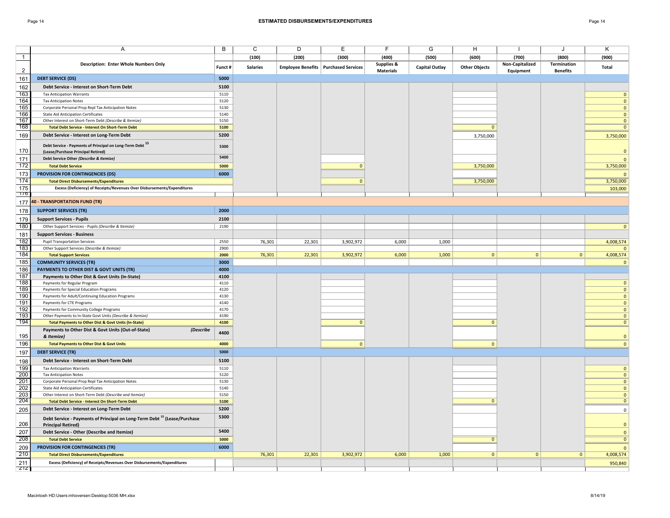## Page 14 **ESTIMATED DISBURSEMENTS/EXPENDITURES** Page 14

|                 | Α                                                                                    | B            | C               | D                                      | Е              | F                     | G                     | H                    |                 | J                  | Κ                          |
|-----------------|--------------------------------------------------------------------------------------|--------------|-----------------|----------------------------------------|----------------|-----------------------|-----------------------|----------------------|-----------------|--------------------|----------------------------|
| $\overline{1}$  |                                                                                      |              | (100)           | (200)                                  | (300)          | (400)                 | (500)                 | (600)                | (700)           | (800)              | (900)                      |
|                 | <b>Description: Enter Whole Numbers Only</b>                                         | Funct #      | <b>Salaries</b> | Employee Benefits   Purchased Services |                | <b>Supplies &amp;</b> | <b>Capital Outlay</b> | <b>Other Objects</b> | Non-Capitalized | <b>Termination</b> | Total                      |
| $\overline{c}$  |                                                                                      |              |                 |                                        |                | <b>Materials</b>      |                       |                      | Equipment       | <b>Benefits</b>    |                            |
| 161             | <b>DEBT SERVICE (DS)</b>                                                             | 5000         |                 |                                        |                |                       |                       |                      |                 |                    |                            |
| 162             | Debt Service - Interest on Short-Term Debt                                           | 5100         |                 |                                        |                |                       |                       |                      |                 |                    |                            |
| 163             | <b>Tax Anticipation Warrants</b>                                                     | 5110         |                 |                                        |                |                       |                       |                      |                 |                    | $\mathbf 0$                |
| 164             | <b>Tax Anticipation Notes</b>                                                        | 5120         |                 |                                        |                |                       |                       |                      |                 |                    | $\mathbf 0$                |
| 165             | Corporate Personal Prop Repl Tax Anticipation Notes                                  | 5130         |                 |                                        |                |                       |                       |                      |                 |                    | $\mathbf{0}$               |
| 166             | <b>State Aid Anticipation Certificates</b>                                           | 5140         |                 |                                        |                |                       |                       |                      |                 |                    | $\mathbf{0}$               |
| 167             | Other Interest on Short-Term Debt (Describe & Itemize)                               | 5150         |                 |                                        |                |                       |                       |                      |                 |                    | $\mathbf 0$                |
| 168             | <b>Total Debt Service - Interest On Short-Term Debt</b>                              | 5100         |                 |                                        |                |                       |                       | $\Omega$             |                 |                    | $\mathbf 0$                |
| 169             | Debt Service - Interest on Long-Term Debt                                            | 5200         |                 |                                        |                |                       |                       | 3,750,000            |                 |                    | 3,750,000                  |
|                 | Debt Service - Payments of Principal on Long-Term Debt <sup>15</sup>                 | 5300         |                 |                                        |                |                       |                       |                      |                 |                    |                            |
| 170             | (Lease/Purchase Principal Retired)                                                   |              |                 |                                        |                |                       |                       |                      |                 |                    | $\mathbf 0$                |
| 171             | Debt Service Other (Describe & Itemize)                                              | 5400         |                 |                                        |                |                       |                       |                      |                 |                    | $\mathbf{0}$               |
| 172             | <b>Total Debt Service</b>                                                            | 5000         |                 |                                        | $\Omega$       |                       |                       | 3,750,000            |                 |                    | 3,750,000                  |
| 173             | <b>PROVISION FOR CONTINGENCIES (DS)</b>                                              | 6000         |                 |                                        |                |                       |                       |                      |                 |                    | $\mathbf{0}$               |
| 174             | <b>Total Direct Disbursements/Expenditures</b>                                       |              |                 |                                        | $\Omega$       |                       |                       | 3,750,000            |                 |                    | 3,750,000                  |
| 175             | Excess (Deficiency) of Receipts/Revenues Over Disbursements/Expenditures             |              |                 |                                        |                |                       |                       |                      |                 |                    | 103,000                    |
| 776             |                                                                                      |              |                 |                                        |                |                       |                       |                      |                 |                    |                            |
|                 | 177 40 - TRANSPORTATION FUND (TR)                                                    |              |                 |                                        |                |                       |                       |                      |                 |                    |                            |
| 178             | <b>SUPPORT SERVICES (TR)</b>                                                         | 2000         |                 |                                        |                |                       |                       |                      |                 |                    |                            |
| 179             | <b>Support Services - Pupils</b>                                                     | 2100         |                 |                                        |                |                       |                       |                      |                 |                    |                            |
| 180             | Other Support Services - Pupils (Describe & Itemize)                                 | 2190         |                 |                                        |                |                       |                       |                      |                 |                    | $\mathbf{0}$               |
|                 | <b>Support Services - Business</b>                                                   |              |                 |                                        |                |                       |                       |                      |                 |                    |                            |
| 181             |                                                                                      |              |                 |                                        |                |                       |                       |                      |                 |                    |                            |
| 182             | <b>Pupil Transportation Services</b>                                                 | 2550<br>2900 | 76,301          | 22,301                                 | 3,902,972      | 6,000                 | 1,000                 |                      |                 |                    | 4,008,574                  |
| 183<br>184      | Other Support Services (Describe & Itemize)<br><b>Total Support Services</b>         | 2000         | 76,301          | 22,301                                 | 3,902,972      | 6,000                 | 1,000                 | 0                    | $\overline{0}$  | $\overline{0}$     | $\mathbf{0}$<br>4,008,574  |
| 185             | <b>COMMUNITY SERVICES (TR)</b>                                                       | 3000         |                 |                                        |                |                       |                       |                      |                 |                    | $\mathbf 0$                |
|                 | PAYMENTS TO OTHER DIST & GOVT UNITS (TR)                                             | 4000         |                 |                                        |                |                       |                       |                      |                 |                    |                            |
| 186<br>187      | Payments to Other Dist & Govt Units (In-State)                                       | 4100         |                 |                                        |                |                       |                       |                      |                 |                    |                            |
| 188             | Payments for Regular Program                                                         | 4110         |                 |                                        |                |                       |                       |                      |                 |                    | $\mathbf 0$                |
| 189             | Payments for Special Education Programs                                              | 4120         |                 |                                        |                |                       |                       |                      |                 |                    | $\mathbf 0$                |
| 190             | Payments for Adult/Continuing Education Programs                                     | 4130         |                 |                                        |                |                       |                       |                      |                 |                    | $\mathbf{0}$               |
| 191             | Payments for CTE Programs                                                            | 4140         |                 |                                        |                |                       |                       |                      |                 |                    | $\mathbf 0$                |
| 192             | Payments for Community College Programs                                              | 4170         |                 |                                        |                |                       |                       |                      |                 |                    | $\mathbf 0$                |
| 193             | Other Payments to In-State Govt Units (Describe & Itemize)                           | 4190         |                 |                                        |                |                       |                       |                      |                 |                    | $\mathbf 0$                |
| 194             | <b>Total Payments to Other Dist &amp; Govt Units (In-State)</b>                      | 4100         |                 |                                        | $\Omega$       |                       |                       | $\Omega$             |                 |                    | $\mathbf{0}$               |
|                 | (Describe<br>Payments to Other Dist & Govt Units (Out-of-State)                      | 4400         |                 |                                        |                |                       |                       |                      |                 |                    |                            |
| 195             | & Itemize)                                                                           |              |                 |                                        |                |                       |                       |                      |                 |                    | $\mathbf{0}$               |
| 196             | <b>Total Payments to Other Dist &amp; Govt Units</b>                                 | 4000         |                 |                                        | $\overline{0}$ |                       |                       | $\mathbf{0}$         |                 |                    | $\mathbf{0}$               |
| 197             | <b>DEBT SERVICE (TR)</b>                                                             | 5000         |                 |                                        |                |                       |                       |                      |                 |                    |                            |
| 198             | Debt Service - Interest on Short-Term Debt                                           | 5100         |                 |                                        |                |                       |                       |                      |                 |                    |                            |
| 199             | <b>Tax Anticipation Warrants</b>                                                     | 5110         |                 |                                        |                |                       |                       |                      |                 |                    | $\mathbf 0$                |
| <u>200</u>      | <b>Tax Anticipation Notes</b>                                                        | 5120         |                 |                                        |                |                       |                       |                      |                 |                    | $\mathbf 0$                |
| $\frac{1}{201}$ | Corporate Personal Prop Repl Tax Anticipation Notes                                  | 5130         |                 |                                        |                |                       |                       |                      |                 |                    | $\mathbf 0$                |
| 202             | <b>State Aid Anticipation Certificates</b>                                           | 5140         |                 |                                        |                |                       |                       |                      |                 |                    | $\mathbf 0$                |
| 203<br>204      | Other Interest on Short-Term Debt (Describe and Itemize)                             | 5150         |                 |                                        |                |                       |                       |                      |                 |                    | $\mathbf 0$<br>$\mathbf 0$ |
|                 | <b>Total Debt Service - Interest On Short-Term Debt</b>                              | 5100         |                 |                                        |                |                       |                       | $\mathbf{0}$         |                 |                    |                            |
| 205             | Debt Service - Interest on Long-Term Debt                                            | 5200         |                 |                                        |                |                       |                       |                      |                 |                    | $\mathsf 0$                |
|                 | Debt Service - Payments of Principal on Long-Term Debt <sup>15</sup> (Lease/Purchase | 5300         |                 |                                        |                |                       |                       |                      |                 |                    |                            |
| 206             | <b>Principal Retired)</b>                                                            | 5400         |                 |                                        |                |                       |                       |                      |                 |                    | $\mathbf 0$                |
| 207             | Debt Service - Other (Describe and Itemize)                                          |              |                 |                                        |                |                       |                       | $\Omega$             |                 |                    | $\mathbf{0}$               |
| 208             | <b>Total Debt Service</b>                                                            | 5000         |                 |                                        |                |                       |                       |                      |                 |                    | $\overline{0}$             |
| 209             | PROVISION FOR CONTINGENCIES (TR)                                                     | 6000         |                 |                                        |                |                       |                       |                      |                 |                    | $\mathbf{0}$               |
| 210             | <b>Total Direct Disbursements/Expenditures</b>                                       |              | 76,301          | 22,301                                 | 3,902,972      | 6,000                 | 1,000                 | 0                    | $\overline{0}$  | $\overline{0}$     | 4,008,574                  |
| 211             | Excess (Deficiency) of Receipts/Revenues Over Disbursements/Expenditures             |              |                 |                                        |                |                       |                       |                      |                 |                    | 950,840                    |
| ZTZ             |                                                                                      |              |                 |                                        |                |                       |                       |                      |                 |                    |                            |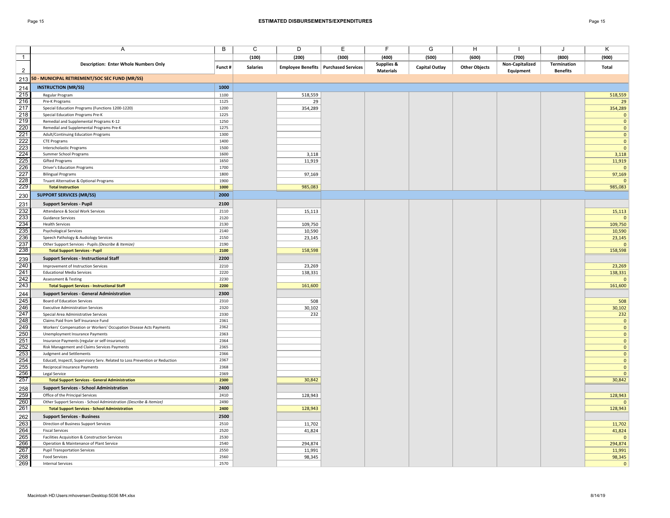|                  | Α                                                                                              | B            | $\mathsf{C}$    | D       | E                                             | F                     | G                     | Η                    |                 | J               | $\overline{\mathsf{K}}$      |
|------------------|------------------------------------------------------------------------------------------------|--------------|-----------------|---------|-----------------------------------------------|-----------------------|-----------------------|----------------------|-----------------|-----------------|------------------------------|
| $\overline{1}$   |                                                                                                |              | (100)           | (200)   | (300)                                         | (400)                 | (500)                 | (600)                | (700)           | (800)           | (900)                        |
|                  | <b>Description: Enter Whole Numbers Only</b>                                                   | Funct #      | <b>Salaries</b> |         | <b>Employee Benefits   Purchased Services</b> | <b>Supplies &amp;</b> | <b>Capital Outlay</b> | <b>Other Objects</b> | Non-Capitalized | Termination     | Total                        |
| $\overline{2}$   |                                                                                                |              |                 |         |                                               | <b>Materials</b>      |                       |                      | Equipment       | <b>Benefits</b> |                              |
|                  | 213 50 - MUNICIPAL RETIREMENT/SOC SEC FUND (MR/SS)                                             |              |                 |         |                                               |                       |                       |                      |                 |                 |                              |
| 214              | <b>INSTRUCTION (MR/SS)</b>                                                                     | 1000         |                 |         |                                               |                       |                       |                      |                 |                 |                              |
| 215              | Regular Program                                                                                | 1100         |                 | 518,559 |                                               |                       |                       |                      |                 |                 | 518,559                      |
| 216              | Pre-K Programs                                                                                 | 1125         |                 | 29      |                                               |                       |                       |                      |                 |                 | 29                           |
| 217<br>218       | Special Education Programs (Functions 1200-1220)                                               | 1200         |                 | 354,289 |                                               |                       |                       |                      |                 |                 | 354,289                      |
| 219              | Special Education Programs Pre-K                                                               | 1225<br>1250 |                 |         |                                               |                       |                       |                      |                 |                 | $\mathbf{0}$                 |
| $\overline{220}$ | Remedial and Supplemental Programs K-12<br>Remedial and Supplemental Programs Pre-K            | 1275         |                 |         |                                               |                       |                       |                      |                 |                 | $\mathbf{0}$<br>$\mathbf{0}$ |
| 221              | Adult/Continuing Education Programs                                                            | 1300         |                 |         |                                               |                       |                       |                      |                 |                 | $\mathbf{0}$                 |
| 222              | <b>CTE Programs</b>                                                                            | 1400         |                 |         |                                               |                       |                       |                      |                 |                 | $\mathbf{0}$                 |
| $\overline{223}$ | Interscholastic Programs                                                                       | 1500         |                 |         |                                               |                       |                       |                      |                 |                 | $\mathbf{0}$                 |
| 224              | Summer School Programs                                                                         | 1600         |                 | 3,118   |                                               |                       |                       |                      |                 |                 | 3,118                        |
| 225              | <b>Gifted Programs</b>                                                                         | 1650         |                 | 11,919  |                                               |                       |                       |                      |                 |                 | 11,919                       |
| 226              | <b>Driver's Education Programs</b>                                                             | 1700         |                 |         |                                               |                       |                       |                      |                 |                 | $\mathbf{0}$                 |
| 227              | <b>Bilingual Programs</b>                                                                      | 1800         |                 | 97,169  |                                               |                       |                       |                      |                 |                 | 97,169                       |
| 228              | Truant Alternative & Optional Programs                                                         | 1900         |                 |         |                                               |                       |                       |                      |                 |                 | $\Omega$                     |
| 229              | <b>Total Instruction</b>                                                                       | 1000         |                 | 985,083 |                                               |                       |                       |                      |                 |                 | 985,083                      |
| 230              | <b>SUPPORT SERVICES (MR/SS)</b>                                                                | 2000         |                 |         |                                               |                       |                       |                      |                 |                 |                              |
| 231              | <b>Support Services - Pupil</b>                                                                | 2100         |                 |         |                                               |                       |                       |                      |                 |                 |                              |
| 232              | Attendance & Social Work Services                                                              | 2110         |                 | 15,113  |                                               |                       |                       |                      |                 |                 | 15,113                       |
| 233              | <b>Guidance Services</b>                                                                       | 2120         |                 |         |                                               |                       |                       |                      |                 |                 | $\mathbf{0}$                 |
| 234              | <b>Health Services</b>                                                                         | 2130         |                 | 109,750 |                                               |                       |                       |                      |                 |                 | 109,750                      |
| 235              | <b>Psychological Services</b>                                                                  | 2140         |                 | 10,590  |                                               |                       |                       |                      |                 |                 | 10,590                       |
| 236              | Speech Pathology & Audiology Services                                                          | 2150         |                 | 23,145  |                                               |                       |                       |                      |                 |                 | 23,145                       |
| 237              | Other Support Services - Pupils (Describe & Itemize)                                           | 2190         |                 |         |                                               |                       |                       |                      |                 |                 | $\mathbf{0}$                 |
| 238              | <b>Total Support Services - Pupil</b>                                                          | 2100         |                 | 158,598 |                                               |                       |                       |                      |                 |                 | 158,598                      |
| 239              | <b>Support Services - Instructional Staff</b>                                                  | 2200         |                 |         |                                               |                       |                       |                      |                 |                 |                              |
| 240              | Improvement of Instruction Services                                                            | 2210         |                 | 23,269  |                                               |                       |                       |                      |                 |                 | 23,269                       |
| 241              | <b>Educational Media Services</b>                                                              | 2220         |                 | 138,331 |                                               |                       |                       |                      |                 |                 | 138,331                      |
| 242              | Assessment & Testing                                                                           | 2230         |                 |         |                                               |                       |                       |                      |                 |                 | $\mathbf{0}$                 |
| 243              | <b>Total Support Services - Instructional Staff</b>                                            | 2200         |                 | 161,600 |                                               |                       |                       |                      |                 |                 | 161,600                      |
| 244              | <b>Support Services - General Administration</b>                                               | 2300         |                 |         |                                               |                       |                       |                      |                 |                 |                              |
| 245              | <b>Board of Education Services</b>                                                             | 2310         |                 | 508     |                                               |                       |                       |                      |                 |                 | 508                          |
| 246              | <b>Executive Administration Services</b>                                                       | 2320         |                 | 30,102  |                                               |                       |                       |                      |                 |                 | 30,102                       |
| 247              | Special Area Administrative Services                                                           | 2330         |                 | 232     |                                               |                       |                       |                      |                 |                 | 232                          |
| 248              | Claims Paid from Self Insurance Fund                                                           | 2361         |                 |         |                                               |                       |                       |                      |                 |                 | $\mathbf{0}$                 |
| 249              | Workers' Compensation or Workers' Occupation Disease Acts Payments                             | 2362         |                 |         |                                               |                       |                       |                      |                 |                 | $\mathbf{0}$                 |
| 250<br>251       | Unemployment Insurance Payments                                                                | 2363         |                 |         |                                               |                       |                       |                      |                 |                 | $\mathbf{0}$                 |
| 252              | Insurance Payments (regular or self-insurance)<br>Risk Management and Claims Services Payments | 2364<br>2365 |                 |         |                                               |                       |                       |                      |                 |                 | $\mathbf{0}$<br>$\mathbf{0}$ |
| 253              | <b>Judgment and Settlements</b>                                                                | 2366         |                 |         |                                               |                       |                       |                      |                 |                 | $\mathbf{0}$                 |
| 254              | Educatl, Inspectl, Supervisory Serv. Related to Loss Prevention or Reduction                   | 2367         |                 |         |                                               |                       |                       |                      |                 |                 | $\mathbf{0}$                 |
| 255              | Reciprocal Insurance Payments                                                                  | 2368         |                 |         |                                               |                       |                       |                      |                 |                 | $\mathbf{0}$                 |
| 256              | Legal Service                                                                                  | 2369         |                 |         |                                               |                       |                       |                      |                 |                 | $\mathbf{0}$                 |
| 257              | <b>Total Support Services - General Administration</b>                                         | 2300         |                 | 30,842  |                                               |                       |                       |                      |                 |                 | 30,842                       |
| 258              | <b>Support Services - School Administration</b>                                                | 2400         |                 |         |                                               |                       |                       |                      |                 |                 |                              |
| 259              | Office of the Principal Services                                                               | 2410         |                 | 128,943 |                                               |                       |                       |                      |                 |                 | 128,943                      |
| 260              | Other Support Services - School Administration (Describe & Itemize)                            | 2490         |                 |         |                                               |                       |                       |                      |                 |                 | $\Omega$                     |
| 261              | <b>Total Support Services - School Administration</b>                                          | 2400         |                 | 128,943 |                                               |                       |                       |                      |                 |                 | 128,943                      |
| 262              | <b>Support Services - Business</b>                                                             | 2500         |                 |         |                                               |                       |                       |                      |                 |                 |                              |
| 263              | Direction of Business Support Services                                                         | 2510         |                 | 11,702  |                                               |                       |                       |                      |                 |                 | 11,702                       |
| 264              | <b>Fiscal Services</b>                                                                         | 2520         |                 | 41,824  |                                               |                       |                       |                      |                 |                 | 41,824                       |
| 265              | Facilities Acquisition & Construction Services                                                 | 2530         |                 |         |                                               |                       |                       |                      |                 |                 | $\mathbf{0}$                 |
| 266              | Operation & Maintenance of Plant Service                                                       | 2540         |                 | 294,874 |                                               |                       |                       |                      |                 |                 | 294,874                      |
| 267              | <b>Pupil Transportation Services</b>                                                           | 2550         |                 | 11,991  |                                               |                       |                       |                      |                 |                 | 11,991                       |
| 268              | <b>Food Services</b>                                                                           | 2560         |                 | 98,345  |                                               |                       |                       |                      |                 |                 | 98,345                       |
| 269              | <b>Internal Services</b>                                                                       | 2570         |                 |         |                                               |                       |                       |                      |                 |                 | $\mathbf{0}$                 |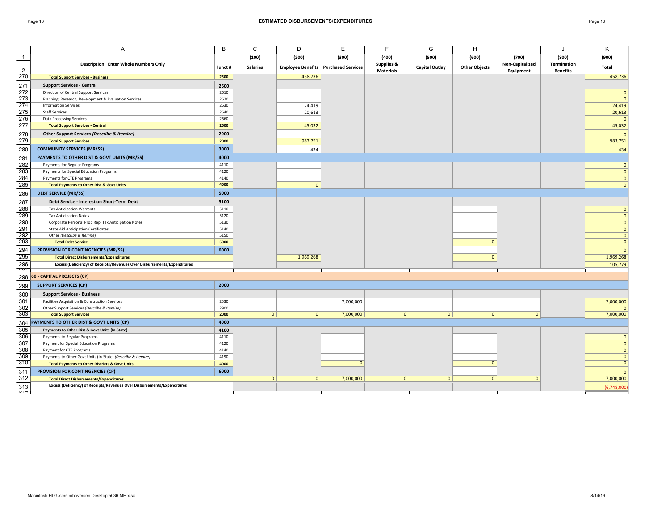## Page 16 **ESTIMATED DISBURSEMENTS/EXPENDITURES** Page 16

| age. |  |
|------|--|
|      |  |

|                    | A                                                                        | B       | C               | D              | Е                                             | F                | G                     | н                    |                 | J               | Κ                              |
|--------------------|--------------------------------------------------------------------------|---------|-----------------|----------------|-----------------------------------------------|------------------|-----------------------|----------------------|-----------------|-----------------|--------------------------------|
| $\overline{1}$     |                                                                          |         | (100)           | (200)          | (300)                                         | (400)            | (500)                 | (600)                | (700)           | (800)           | (900)                          |
|                    | <b>Description: Enter Whole Numbers Only</b>                             |         |                 |                |                                               | Supplies &       |                       |                      | Non-Capitalized | Termination     |                                |
| $\overline{2}$     |                                                                          | Funct # | <b>Salaries</b> |                | <b>Employee Benefits   Purchased Services</b> | <b>Materials</b> | <b>Capital Outlay</b> | <b>Other Objects</b> | Equipment       | <b>Benefits</b> | Total                          |
| 270                | <b>Total Support Services - Business</b>                                 | 2500    |                 | 458,736        |                                               |                  |                       |                      |                 |                 | 458,736                        |
| 271                | <b>Support Services - Central</b>                                        | 2600    |                 |                |                                               |                  |                       |                      |                 |                 |                                |
| 272                | Direction of Central Support Services                                    | 2610    |                 |                |                                               |                  |                       |                      |                 |                 | $\mathbf{0}$                   |
| 273                | Planning, Research, Development & Evaluation Services                    | 2620    |                 |                |                                               |                  |                       |                      |                 |                 | $\mathbf{0}$                   |
| 274                | <b>Information Services</b>                                              | 2630    |                 | 24,419         |                                               |                  |                       |                      |                 |                 | 24,419                         |
| 275                | <b>Staff Services</b>                                                    | 2640    |                 | 20,613         |                                               |                  |                       |                      |                 |                 | 20,613                         |
| 276                | <b>Data Processing Services</b>                                          | 2660    |                 |                |                                               |                  |                       |                      |                 |                 | $\mathbf{0}$                   |
| 277                | <b>Total Support Services - Central</b>                                  | 2600    |                 | 45,032         |                                               |                  |                       |                      |                 |                 | 45,032                         |
| 278                | Other Support Services (Describe & Itemize)                              | 2900    |                 |                |                                               |                  |                       |                      |                 |                 | $\Omega$                       |
| 279                | <b>Total Support Services</b>                                            | 2000    |                 | 983,751        |                                               |                  |                       |                      |                 |                 | 983,751                        |
| 280                | <b>COMMUNITY SERVICES (MR/SS)</b>                                        | 3000    |                 | 434            |                                               |                  |                       |                      |                 |                 | 434                            |
| 281                | PAYMENTS TO OTHER DIST & GOVT UNITS (MR/SS)                              | 4000    |                 |                |                                               |                  |                       |                      |                 |                 |                                |
| $\overline{282}$   | Payments for Regular Programs                                            | 4110    |                 |                |                                               |                  |                       |                      |                 |                 | $\mathbf{0}$                   |
| 283                | Payments for Special Education Programs                                  | 4120    |                 |                |                                               |                  |                       |                      |                 |                 | $\mathbf{0}$                   |
| 284                | Payments for CTE Programs                                                | 4140    |                 |                |                                               |                  |                       |                      |                 |                 | $\mathbf{0}$                   |
| 285                | <b>Total Payments to Other Dist &amp; Govt Units</b>                     | 4000    |                 | $\overline{0}$ |                                               |                  |                       |                      |                 |                 | $\mathbf{0}$                   |
| 286                | <b>DEBT SERVICE (MR/SS)</b>                                              | 5000    |                 |                |                                               |                  |                       |                      |                 |                 |                                |
| 287                | Debt Service - Interest on Short-Term Debt                               | 5100    |                 |                |                                               |                  |                       |                      |                 |                 |                                |
| 288                | <b>Tax Anticipation Warrants</b>                                         | 5110    |                 |                |                                               |                  |                       |                      |                 |                 | $\mathbf{0}$                   |
| 289                | <b>Tax Anticipation Notes</b>                                            | 5120    |                 |                |                                               |                  |                       |                      |                 |                 | $\mathbf{0}$                   |
| 290                | Corporate Personal Prop Repl Tax Anticipation Notes                      | 5130    |                 |                |                                               |                  |                       |                      |                 |                 | $\mathbf{0}$                   |
| 291                | <b>State Aid Anticipation Certificates</b>                               | 5140    |                 |                |                                               |                  |                       |                      |                 |                 | $\mathbf{0}$                   |
| 292                | Other (Describe & Itemize)                                               | 5150    |                 |                |                                               |                  |                       |                      |                 |                 | $\mathbf{0}$                   |
| 293                | <b>Total Debt Service</b>                                                | 5000    |                 |                |                                               |                  |                       | $\Omega$             |                 |                 | $\mathbf{0}$                   |
| 294                | PROVISION FOR CONTINGENCIES (MR/SS)                                      | 6000    |                 |                |                                               |                  |                       |                      |                 |                 | $\mathbf{0}$                   |
| 295                | <b>Total Direct Disbursements/Expenditures</b>                           |         |                 | 1,969,268      |                                               |                  |                       | $\Omega$             |                 |                 | 1,969,268                      |
| 296<br>$7 - 7 - 7$ | Excess (Deficiency) of Receipts/Revenues Over Disbursements/Expenditures |         |                 |                |                                               |                  |                       |                      |                 |                 | 105,779                        |
| 298                | 60 - CAPITAL PROJECTS (CP)                                               |         |                 |                |                                               |                  |                       |                      |                 |                 |                                |
|                    |                                                                          |         |                 |                |                                               |                  |                       |                      |                 |                 |                                |
| 299                | <b>SUPPORT SERVICES (CP)</b>                                             | 2000    |                 |                |                                               |                  |                       |                      |                 |                 |                                |
| 300                | <b>Support Services - Business</b>                                       |         |                 |                |                                               |                  |                       |                      |                 |                 |                                |
| 301                | Facilities Acquisition & Construction Services                           | 2530    |                 |                | 7,000,000                                     |                  |                       |                      |                 |                 | 7,000,000                      |
| 302                | Other Support Services (Describe & Itemize)                              | 2900    |                 |                |                                               |                  |                       |                      |                 |                 | $\Omega$                       |
| 303                | <b>Total Support Services</b>                                            | 2000    | 0               | 0              | 7,000,000                                     | $\overline{0}$   | $\overline{0}$        | $\mathbf{0}$         | $\mathbf{0}$    |                 | 7,000,000                      |
| 304                | PAYMENTS TO OTHER DIST & GOVT UNITS (CP)                                 | 4000    |                 |                |                                               |                  |                       |                      |                 |                 |                                |
| 305                | Payments to Other Dist & Govt Units (In-State)                           | 4100    |                 |                |                                               |                  |                       |                      |                 |                 |                                |
| 306                | Payments to Regular Programs                                             | 4110    |                 |                |                                               |                  |                       |                      |                 |                 | $\mathbf{0}$                   |
| 307                | Payment for Special Education Programs                                   | 4120    |                 |                |                                               |                  |                       |                      |                 |                 | $\mathbf{0}$                   |
| 308                | Payment for CTE Programs                                                 | 4140    |                 |                |                                               |                  |                       |                      |                 |                 | $\mathbf{0}$                   |
| 309<br>310         | Payments to Other Govt Units (In-State) (Describe & Itemize)             | 4190    |                 |                |                                               |                  |                       |                      |                 |                 | $\mathbf{0}$<br>$\overline{0}$ |
|                    | <b>Total Payments to Other Districts &amp; Govt Units</b>                | 4000    |                 |                | $\Omega$                                      |                  |                       | $\mathbf{0}$         |                 |                 |                                |
| 311                | PROVISION FOR CONTINGENCIES (CP)                                         | 6000    |                 |                |                                               |                  |                       |                      |                 |                 | $\mathbf{0}$                   |
| 312                | <b>Total Direct Disbursements/Expenditures</b>                           |         | 0               | $\overline{0}$ | 7,000,000                                     | $\mathbf{0}$     | $\mathbf{0}$          | $\overline{0}$       | $\mathbf{0}$    |                 | 7,000,000                      |
| 313                | Excess (Deficiency) of Receipts/Revenues Over Disbursements/Expenditures |         |                 |                |                                               |                  |                       |                      |                 |                 | (6,748,000)                    |
| ᠊ᠳ                 |                                                                          |         |                 |                |                                               |                  |                       |                      |                 |                 |                                |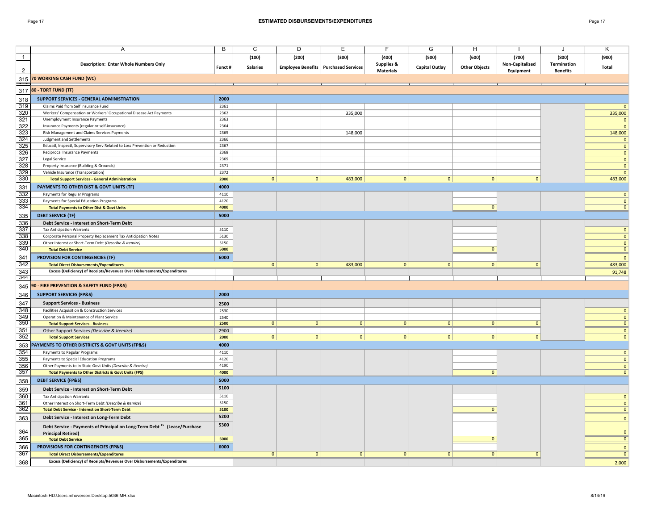|                         | Α                                                                                                                        | B            | C               | D              | Е                                             | F                | G                     | H                    |                 |                 | Κ                           |
|-------------------------|--------------------------------------------------------------------------------------------------------------------------|--------------|-----------------|----------------|-----------------------------------------------|------------------|-----------------------|----------------------|-----------------|-----------------|-----------------------------|
|                         |                                                                                                                          |              |                 |                |                                               |                  |                       |                      |                 |                 |                             |
| $\mathbf{1}$            |                                                                                                                          |              | (100)           | (200)          | (300)                                         | (400)            | (500)                 | (600)                | (700)           | (800)           | (900)                       |
| $\overline{2}$          | <b>Description: Enter Whole Numbers Only</b>                                                                             | Funct #      | <b>Salaries</b> |                | <b>Employee Benefits   Purchased Services</b> | Supplies &       | <b>Capital Outlay</b> | <b>Other Objects</b> | Non-Capitalized | Termination     | Total                       |
|                         |                                                                                                                          |              |                 |                |                                               | <b>Materials</b> |                       |                      | Equipment       | <b>Benefits</b> |                             |
|                         | 315 70 WORKING CASH FUND (WC)                                                                                            |              |                 |                |                                               |                  |                       |                      |                 |                 |                             |
|                         | 317 80 - TORT FUND (TF)                                                                                                  |              |                 |                |                                               |                  |                       |                      |                 |                 |                             |
|                         |                                                                                                                          |              |                 |                |                                               |                  |                       |                      |                 |                 |                             |
| 318                     | SUPPORT SERVICES - GENERAL ADMINISTRATION                                                                                | 2000         |                 |                |                                               |                  |                       |                      |                 |                 |                             |
| 319                     | Claims Paid from Self Insurance Fund                                                                                     | 2361         |                 |                |                                               |                  |                       |                      |                 |                 | $\overline{0}$              |
| 320                     | Workers' Compensation or Workers' Occupational Disease Act Payments                                                      | 2362         |                 |                | 335,000                                       |                  |                       |                      |                 |                 | 335,000                     |
| $\frac{321}{322}$       | Unemployment Insurance Payments                                                                                          | 2363         |                 |                |                                               |                  |                       |                      |                 |                 | $\mathbf{0}$                |
|                         | Insurance Payments (regular or self-insurance)                                                                           | 2364         |                 |                |                                               |                  |                       |                      |                 |                 | $\overline{0}$              |
| $\overline{323}$<br>324 | Risk Management and Claims Services Payments                                                                             | 2365         |                 |                | 148,000                                       |                  |                       |                      |                 |                 | 148,000                     |
| 325                     | <b>Judgment and Settlements</b><br>Educatl, Inspectl, Supervisory Serv Related to Loss Prevention or Reduction           | 2366<br>2367 |                 |                |                                               |                  |                       |                      |                 |                 | $\mathbf{0}$                |
| $rac{1}{326}$           | Reciprocal Insurance Payments                                                                                            | 2368         |                 |                |                                               |                  |                       |                      |                 |                 | $\mathbf{0}$                |
| 327                     | Legal Service                                                                                                            | 2369         |                 |                |                                               |                  |                       |                      |                 |                 | $\mathbf 0$<br>$\mathbf 0$  |
| 328                     | Property Insurance (Building & Grounds)                                                                                  | 2371         |                 |                |                                               |                  |                       |                      |                 |                 | $\mathbf 0$                 |
| $\frac{1}{329}$         | Vehicle Insurance (Transportation)                                                                                       | 2372         |                 |                |                                               |                  |                       |                      |                 |                 | $\mathbf{0}$                |
| 330                     | <b>Total Support Services - General Administration</b>                                                                   | 2000         | 0               | $\overline{0}$ | 483,000                                       | 0                | 0                     | $\overline{0}$       | $\mathbf{0}$    |                 | 483,000                     |
| 331                     | PAYMENTS TO OTHER DIST & GOVT UNITS (TF)                                                                                 | 4000         |                 |                |                                               |                  |                       |                      |                 |                 |                             |
| 332                     | Payments for Regular Programs                                                                                            | 4110         |                 |                |                                               |                  |                       |                      |                 |                 | $\overline{0}$              |
| 333                     | Payments for Special Education Programs                                                                                  | 4120         |                 |                |                                               |                  |                       |                      |                 |                 | $\mathbf 0$                 |
| 334                     | <b>Total Payments to Other Dist &amp; Govt Units</b>                                                                     | 4000         |                 |                |                                               |                  |                       | $\mathbf{0}$         |                 |                 | $\mathbf{0}$                |
|                         | <b>DEBT SERVICE (TF)</b>                                                                                                 | 5000         |                 |                |                                               |                  |                       |                      |                 |                 |                             |
| 335                     |                                                                                                                          |              |                 |                |                                               |                  |                       |                      |                 |                 |                             |
| 336                     | Debt Service - Interest on Short-Term Debt                                                                               |              |                 |                |                                               |                  |                       |                      |                 |                 |                             |
| 337<br>338              | <b>Tax Anticipation Warrants</b>                                                                                         | 5110<br>5130 |                 |                |                                               |                  |                       |                      |                 |                 | $\mathbf{0}$                |
| 339                     | Corporate Personal Property Replacement Tax Anticipation Notes<br>Other Interest or Short-Term Debt (Describe & Itemize) | 5150         |                 |                |                                               |                  |                       |                      |                 |                 | $\mathbf 0$<br>$\mathbf{0}$ |
| 340                     | <b>Total Debt Service</b>                                                                                                | 5000         |                 |                |                                               |                  |                       | $\mathbf{0}$         |                 |                 | $\mathbf 0$                 |
|                         |                                                                                                                          |              |                 |                |                                               |                  |                       |                      |                 |                 |                             |
| 341<br>342              | PROVISION FOR CONTINGENCIES (TF)                                                                                         | 6000         |                 |                |                                               |                  |                       |                      | $\Omega$        |                 | $\mathbf{0}$                |
|                         | <b>Total Direct Disbursements/Expenditures</b>                                                                           |              | $\mathbf{0}$    | $\overline{0}$ | 483,000                                       | $\overline{0}$   | $\mathbf{0}$          | $\mathbf{0}$         |                 |                 | 483,000                     |
| 343<br>344              | Excess (Deficiency) of Receipts/Revenues Over Disbursements/Expenditures                                                 |              |                 |                |                                               |                  |                       |                      |                 |                 | 91,748                      |
|                         | 345 90 - FIRE PREVENTION & SAFETY FUND (FP&S)                                                                            |              |                 |                |                                               |                  |                       |                      |                 |                 |                             |
|                         |                                                                                                                          |              |                 |                |                                               |                  |                       |                      |                 |                 |                             |
| 346                     | <b>SUPPORT SERVICES (FP&amp;S)</b>                                                                                       | 2000         |                 |                |                                               |                  |                       |                      |                 |                 |                             |
| 347                     | <b>Support Services - Business</b>                                                                                       | 2500         |                 |                |                                               |                  |                       |                      |                 |                 |                             |
| 348                     | Facilities Acquisition & Construction Services                                                                           | 2530         |                 |                |                                               |                  |                       |                      |                 |                 | $\mathbf{0}$                |
| 349                     | Operation & Maintenance of Plant Service                                                                                 | 2540         |                 |                |                                               |                  |                       |                      |                 |                 | $\mathbf{0}$                |
| 350                     | <b>Total Support Services - Business</b>                                                                                 | 2500         | 0               | $\overline{0}$ | $\overline{0}$                                | $\overline{0}$   | $\overline{0}$        | $\overline{0}$       | $\overline{0}$  |                 | $\mathbf{0}$                |
| 351                     | Other Support Services (Describe & Itemize)                                                                              | 2900         |                 |                |                                               |                  |                       |                      |                 |                 | $\mathbf{0}$                |
| 352                     | <b>Total Support Services</b>                                                                                            | 2000         | 0               | 0              | 0                                             | 0                | 0                     | $\overline{0}$       | $\mathbf{0}$    |                 | $\mathbf{0}$                |
|                         | 353 PAYMENTS TO OTHER DISTRICTS & GOVT UNITS (FP&S)                                                                      | 4000         |                 |                |                                               |                  |                       |                      |                 |                 |                             |
| 354                     | Payments to Regular Programs                                                                                             | 4110         |                 |                |                                               |                  |                       |                      |                 |                 | $\mathbf{0}$                |
| 355                     | Payments to Special Education Programs                                                                                   | 4120         |                 |                |                                               |                  |                       |                      |                 |                 | $\mathbf 0$                 |
| 356                     | Other Payments to In-State Govt Units (Describe & Itemize)                                                               | 4190         |                 |                |                                               |                  |                       |                      |                 |                 | $\mathbf{0}$                |
| 357                     | <b>Total Payments to Other Districts &amp; Govt Units (FPS)</b>                                                          | 4000         |                 |                |                                               |                  |                       | $\mathbf{0}$         |                 |                 | $\mathbf{0}$                |
| 358                     | <b>DEBT SERVICE (FP&amp;S)</b>                                                                                           | 5000         |                 |                |                                               |                  |                       |                      |                 |                 |                             |
| 359                     | Debt Service - Interest on Short-Term Debt                                                                               | 5100         |                 |                |                                               |                  |                       |                      |                 |                 |                             |
| 360                     | <b>Tax Anticipation Warrants</b>                                                                                         | 5110         |                 |                |                                               |                  |                       |                      |                 |                 | $\mathbf{0}$                |
| 361                     | Other Interest on Short-Term Debt (Describe & Itemize)                                                                   | 5150         |                 |                |                                               |                  |                       |                      |                 |                 | $\mathbf{0}$                |
| 362                     | <b>Total Debt Service - Interest on Short-Term Debt</b>                                                                  | 5100         |                 |                |                                               |                  |                       | $\Omega$             |                 |                 | $\mathbf{0}$                |
| 363                     | Debt Service - Interest on Long-Term Debt                                                                                | 5200         |                 |                |                                               |                  |                       |                      |                 |                 | $\mathbf{0}$                |
|                         | Debt Service - Payments of Principal on Long-Term Debt <sup>15</sup> (Lease/Purchase                                     | 5300         |                 |                |                                               |                  |                       |                      |                 |                 |                             |
| 364                     | <b>Principal Retired)</b>                                                                                                |              |                 |                |                                               |                  |                       |                      |                 |                 | $\mathbf{0}$                |
| 365                     | <b>Total Debt Service</b>                                                                                                | 5000         |                 |                |                                               |                  |                       | $\Omega$             |                 |                 | $\overline{\mathbf{0}}$     |
| 366                     | PROVISIONS FOR CONTINGENCIES (FP&S)                                                                                      | 6000         |                 |                |                                               |                  |                       |                      |                 |                 | $\mathbf{0}$                |
| 367                     | <b>Total Direct Disbursements/Expenditures</b>                                                                           |              | 0               | $\overline{0}$ | $\mathbf{0}$                                  | $\mathbf{0}$     | $\Omega$              | 0                    | $\overline{0}$  |                 | $\overline{0}$              |
| 368                     | Excess (Deficiency) of Receipts/Revenues Over Disbursements/Expenditures                                                 |              |                 |                |                                               |                  |                       |                      |                 |                 |                             |
|                         |                                                                                                                          |              |                 |                |                                               |                  |                       |                      |                 |                 | 2,000                       |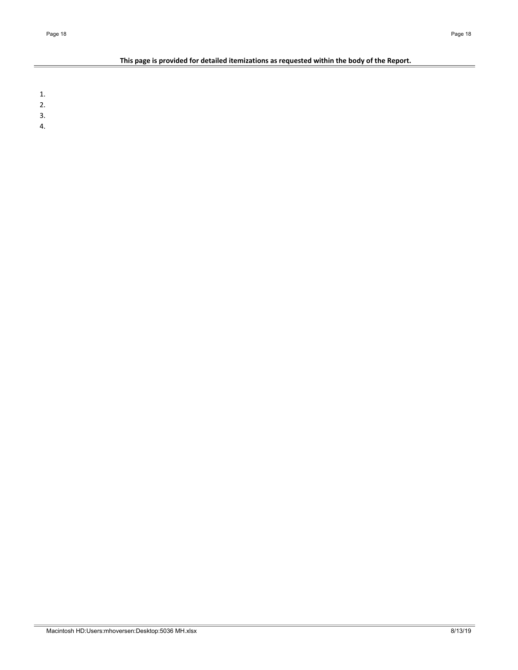# This page is provided for detailed itemizations as requested within the body of the Report.

1.

- 2.
- 3.
- 4.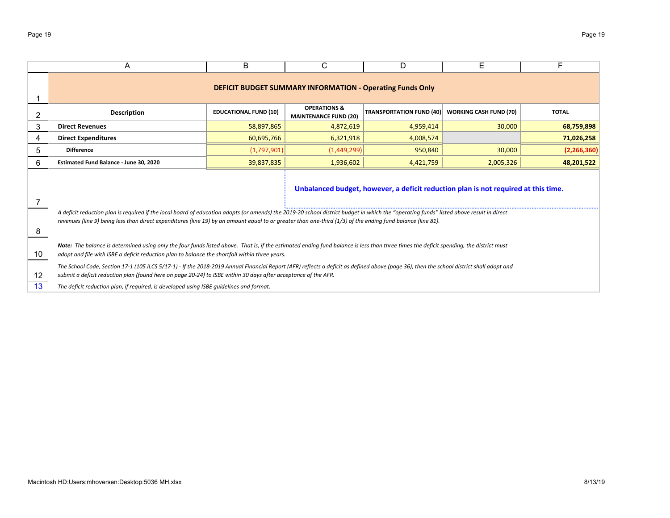|    | A                                                                                                                                                                                                                                                                                                                                                      | B                            | С                                                       | D                               | Е                             | F            |  |  |  |  |  |  |  |
|----|--------------------------------------------------------------------------------------------------------------------------------------------------------------------------------------------------------------------------------------------------------------------------------------------------------------------------------------------------------|------------------------------|---------------------------------------------------------|---------------------------------|-------------------------------|--------------|--|--|--|--|--|--|--|
|    | <b>DEFICIT BUDGET SUMMARY INFORMATION - Operating Funds Only</b>                                                                                                                                                                                                                                                                                       |                              |                                                         |                                 |                               |              |  |  |  |  |  |  |  |
|    | <b>Description</b>                                                                                                                                                                                                                                                                                                                                     | <b>EDUCATIONAL FUND (10)</b> | <b>OPERATIONS &amp;</b><br><b>MAINTENANCE FUND (20)</b> | <b>TRANSPORTATION FUND (40)</b> | <b>WORKING CASH FUND (70)</b> | <b>TOTAL</b> |  |  |  |  |  |  |  |
| 3  | <b>Direct Revenues</b>                                                                                                                                                                                                                                                                                                                                 | 58,897,865                   | 4,872,619                                               | 4,959,414                       | 30,000                        | 68,759,898   |  |  |  |  |  |  |  |
| 4  | <b>Direct Expenditures</b>                                                                                                                                                                                                                                                                                                                             | 60,695,766                   | 6,321,918                                               | 4,008,574                       |                               | 71,026,258   |  |  |  |  |  |  |  |
| 5  | <b>Difference</b>                                                                                                                                                                                                                                                                                                                                      | (1,797,901)                  | (1,449,299)                                             | 950,840                         | 30,000                        | (2,266,360)  |  |  |  |  |  |  |  |
| 6  | Estimated Fund Balance - June 30, 2020                                                                                                                                                                                                                                                                                                                 | 39,837,835                   | 1,936,602                                               | 4,421,759                       | 2,005,326                     | 48,201,522   |  |  |  |  |  |  |  |
|    | Unbalanced budget, however, a deficit reduction plan is not required at this time.                                                                                                                                                                                                                                                                     |                              |                                                         |                                 |                               |              |  |  |  |  |  |  |  |
| 8  | A deficit reduction plan is required if the local board of education adopts (or amends) the 2019-20 school district budget in which the "operating funds" listed above result in direct<br>revenues (line 9) being less than direct expenditures (line 19) by an amount equal to or greater than one-third (1/3) of the ending fund balance (line 81). |                              |                                                         |                                 |                               |              |  |  |  |  |  |  |  |
| 10 | Note: The balance is determined using only the four funds listed above. That is, if the estimated ending fund balance is less than three times the deficit spending, the district must<br>adopt and file with ISBE a deficit reduction plan to balance the shortfall within three years.                                                               |                              |                                                         |                                 |                               |              |  |  |  |  |  |  |  |
| 12 | The School Code, Section 17-1 (105 ILCS 5/17-1) - If the 2018-2019 Annual Financial Report (AFR) reflects a deficit as defined above (page 36), then the school district shall adopt and<br>submit a deficit reduction plan (found here on page 20-24) to ISBE within 30 days after acceptance of the AFR.                                             |                              |                                                         |                                 |                               |              |  |  |  |  |  |  |  |
| 13 | The deficit reduction plan, if required, is developed using ISBE quidelines and format.                                                                                                                                                                                                                                                                |                              |                                                         |                                 |                               |              |  |  |  |  |  |  |  |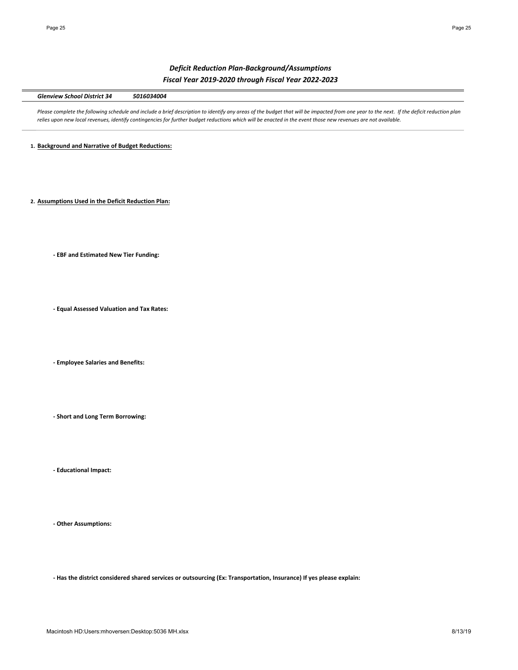# *Deficit Reduction Plan-Background/Assumptions Fiscal Year 2019-2020 through Fiscal Year 2022-2023*

Glenview School District 34 5016034004

Please complete the following schedule and include a brief description to identify any areas of the budget that will be impacted from one year to the next. If the deficit reduction plan relies upon new local revenues, identify contingencies for further budget reductions which will be enacted in the event those new revenues are not available.

1. **Background and Narrative of Budget Reductions:** 

2. **Assumptions Used in the Deficit Reduction Plan:** 

**- EBF and Estimated New Tier Funding:** 

**- Equal Assessed Valuation and Tax Rates:** 

**- Employee Salaries and Benefits:**

**- Short and Long Term Borrowing:**

**- Educational Impact:**

**- Other Assumptions:**

- Has the district considered shared services or outsourcing (Ex: Transportation, Insurance) If yes please explain: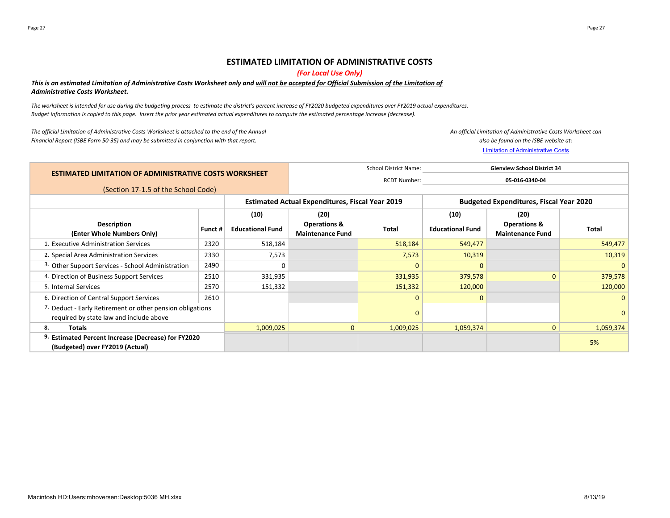# **ESTIMATED LIMITATION OF ADMINISTRATIVE COSTS**

# *(For Local Use Only)*

# This is an estimated Limitation of Administrative Costs Worksheet only and will not be accepted for Official Submission of the Limitation of **Administrative Costs Worksheet.**

The worksheet is intended for use during the budgeting process to estimate the district's percent increase of FY2020 budgeted expenditures over FY2019 actual expenditures. Budget information is copied to this page. Insert the prior year estimated actual expenditures to compute the estimated percentage increase (decrease).

The official Limitation of Administrative Costs Worksheet is attached to the end of the Annual Financial Report (ISBE Form 50-35) and may be submitted in conjunction with that report.

*An official Limitation of Administrative Costs Worksheet can also be found on the ISBE website at:*

Limitation of Administrative Costs

|                                                                                                      |                                     |                                                        | <b>School District Name:</b><br><b>Glenview School District 34</b> |                     |                                                |                                                    |              |  |  |
|------------------------------------------------------------------------------------------------------|-------------------------------------|--------------------------------------------------------|--------------------------------------------------------------------|---------------------|------------------------------------------------|----------------------------------------------------|--------------|--|--|
| <b>ESTIMATED LIMITATION OF ADMINISTRATIVE COSTS WORKSHEET</b>                                        |                                     |                                                        |                                                                    | <b>RCDT Number:</b> |                                                | 05-016-0340-04                                     |              |  |  |
|                                                                                                      | (Section 17-1.5 of the School Code) |                                                        |                                                                    |                     |                                                |                                                    |              |  |  |
|                                                                                                      |                                     | <b>Estimated Actual Expenditures, Fiscal Year 2019</b> |                                                                    |                     | <b>Budgeted Expenditures, Fiscal Year 2020</b> |                                                    |              |  |  |
|                                                                                                      |                                     | (10)                                                   | (20)                                                               |                     | (10)                                           | (20)                                               |              |  |  |
| <b>Description</b><br>(Enter Whole Numbers Only)                                                     | Funct #                             | <b>Educational Fund</b>                                | <b>Operations &amp;</b><br><b>Maintenance Fund</b>                 | Total               | <b>Educational Fund</b>                        | <b>Operations &amp;</b><br><b>Maintenance Fund</b> | <b>Total</b> |  |  |
| 1. Executive Administration Services                                                                 | 2320                                | 518,184                                                |                                                                    | 518,184             | 549,477                                        |                                                    | 549,477      |  |  |
| 2. Special Area Administration Services                                                              | 2330                                | 7,573                                                  |                                                                    | 7,573               | 10,319                                         |                                                    | 10,319       |  |  |
| 3. Other Support Services - School Administration                                                    | 2490                                | $\Omega$                                               |                                                                    | $\Omega$            | $\Omega$                                       |                                                    | $\Omega$     |  |  |
| 4. Direction of Business Support Services                                                            | 2510                                | 331,935                                                |                                                                    | 331,935             | 379,578                                        | $\Omega$                                           | 379,578      |  |  |
| 5. Internal Services                                                                                 | 2570                                | 151,332                                                |                                                                    | 151,332             | 120,000                                        |                                                    | 120,000      |  |  |
| 6. Direction of Central Support Services                                                             | 2610                                |                                                        |                                                                    | $\mathbf{0}$        | $\mathbf{0}$                                   |                                                    | $\mathbf{0}$ |  |  |
| 7. Deduct - Early Retirement or other pension obligations<br>required by state law and include above |                                     |                                                        |                                                                    | 0                   |                                                |                                                    | $\mathbf{0}$ |  |  |
| 8.<br>Totals                                                                                         |                                     | 1,009,025                                              | $\mathbf{0}$                                                       | 1,009,025           | 1,059,374                                      | $\overline{0}$                                     | 1,059,374    |  |  |
| 9. Estimated Percent Increase (Decrease) for FY2020<br>(Budgeted) over FY2019 (Actual)               |                                     |                                                        |                                                                    |                     |                                                |                                                    | 5%           |  |  |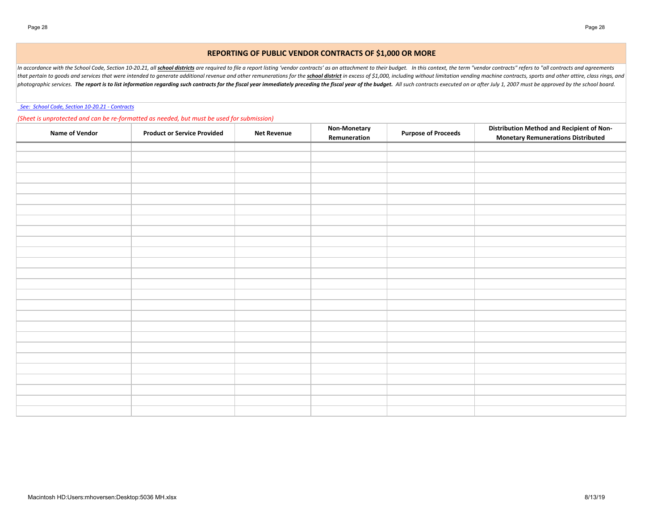# **REPORTING OF PUBLIC VENDOR CONTRACTS OF \$1,000 OR MORE**

In accordance with the School Code, Section 10-20.21, all school districts are required to file a report listing 'vendor contracts' as an attachment to their budget. In this context, the term "vendor contracts" refers to " that pertain to goods and services that were intended to generate additional revenue and other remunerations for the school district in excess of \$1,000, including without limitation vending machine contracts, sports and o photographic services. The report is to list information regarding such contracts for the fiscal year immediately preceding the fiscal year of the budget. All such contracts executed on or after July 1, 2007 must be approv

## See: School Code, Section 10-20.21 - Contracts

## (Sheet is unprotected and can be re-formatted as needed, but must be used for submission)

| <b>Name of Vendor</b> | <b>Product or Service Provided</b> | <b>Net Revenue</b> | Non-Monetary<br>Remuneration | <b>Purpose of Proceeds</b> | <b>Distribution Method and Recipient of Non-</b><br><b>Monetary Remunerations Distributed</b> |
|-----------------------|------------------------------------|--------------------|------------------------------|----------------------------|-----------------------------------------------------------------------------------------------|
|                       |                                    |                    |                              |                            |                                                                                               |
|                       |                                    |                    |                              |                            |                                                                                               |
|                       |                                    |                    |                              |                            |                                                                                               |
|                       |                                    |                    |                              |                            |                                                                                               |
|                       |                                    |                    |                              |                            |                                                                                               |
|                       |                                    |                    |                              |                            |                                                                                               |
|                       |                                    |                    |                              |                            |                                                                                               |
|                       |                                    |                    |                              |                            |                                                                                               |
|                       |                                    |                    |                              |                            |                                                                                               |
|                       |                                    |                    |                              |                            |                                                                                               |
|                       |                                    |                    |                              |                            |                                                                                               |
|                       |                                    |                    |                              |                            |                                                                                               |
|                       |                                    |                    |                              |                            |                                                                                               |
|                       |                                    |                    |                              |                            |                                                                                               |
|                       |                                    |                    |                              |                            |                                                                                               |
|                       |                                    |                    |                              |                            |                                                                                               |
|                       |                                    |                    |                              |                            |                                                                                               |
|                       |                                    |                    |                              |                            |                                                                                               |
|                       |                                    |                    |                              |                            |                                                                                               |
|                       |                                    |                    |                              |                            |                                                                                               |
|                       |                                    |                    |                              |                            |                                                                                               |
|                       |                                    |                    |                              |                            |                                                                                               |
|                       |                                    |                    |                              |                            |                                                                                               |
|                       |                                    |                    |                              |                            |                                                                                               |
|                       |                                    |                    |                              |                            |                                                                                               |
|                       |                                    |                    |                              |                            |                                                                                               |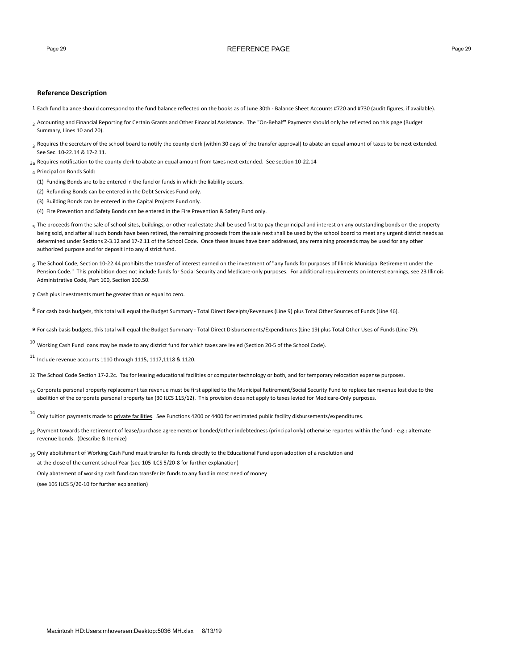# Page 29 REFERENCE PAGE Page 29

## **Reference Description**

- 1 Each fund balance should correspond to the fund balance reflected on the books as of June 30th Balance Sheet Accounts #720 and #730 (audit figures, if available).
- 2 Accounting and Financial Reporting for Certain Grants and Other Financial Assistance. The "On-Behalf" Payments should only be reflected on this page (Budget Summary, Lines 10 and 20).
- 3 Requires the secretary of the school board to notify the county clerk (within 30 days of the transfer approval) to abate an equal amount of taxes to be next extended. See Sec. 10-22.14 & 17-2.11.
- $3a \text{ Required}$  Requires notification to the county clerk to abate an equal amount from taxes next extended. See section 10-22.14

4 Principal on Bonds Sold:

- (1) Funding Bonds are to be entered in the fund or funds in which the liability occurs.
- (2) Refunding Bonds can be entered in the Debt Services Fund only.
- (3) Building Bonds can be entered in the Capital Projects Fund only.
- (4) Fire Prevention and Safety Bonds can be entered in the Fire Prevention & Safety Fund only.
- $_5$  The proceeds from the sale of school sites, buildings, or other real estate shall be used first to pay the principal and interest on any outstanding bonds on the property being sold, and after all such bonds have been retired, the remaining proceeds from the sale next shall be used by the school board to meet any urgent district needs as determined under Sections 2-3.12 and 17-2.11 of the School Code. Once these issues have been addressed, any remaining proceeds may be used for any other authorized purpose and for deposit into any district fund.
- 6 The School Code, Section 10-22.44 prohibits the transfer of interest earned on the investment of "any funds for purposes of Illinois Municipal Retirement under the Pension Code." This prohibition does not include funds for Social Security and Medicare-only purposes. For additional requirements on interest earnings, see 23 Illinois Administrative Code, Part 100, Section 100.50.
- **7** Cash plus investments must be greater than or equal to zero.
- 8 For cash basis budgets, this total will equal the Budget Summary Total Direct Receipts/Revenues (Line 9) plus Total Other Sources of Funds (Line 46).

**9** For cash basis budgets, this total will equal the Budget Summary - Total Direct Disbursements/Expenditures (Line 19) plus Total Other Uses of Funds (Line 79).

 $^{10}$  Working Cash Fund loans may be made to any district fund for which taxes are levied (Section 20-5 of the School Code).

 $11$  Include revenue accounts 1110 through 1115, 1117,1118 & 1120.

- 12 The School Code Section 17-2.2c. Tax for leasing educational facilities or computer technology or both, and for temporary relocation expense purposes.
- 13 Corporate personal property replacement tax revenue must be first applied to the Municipal Retirement/Social Security Fund to replace tax revenue lost due to the abolition of the corporate personal property tax (30 ILCS 115/12). This provision does not apply to taxes levied for Medicare-Only purposes.

<sup>14</sup> Only tuition payments made to *private facilities*. See Functions 4200 or 4400 for estimated public facility disbursements/expenditures.

- 15 Payment towards the retirement of lease/purchase agreements or bonded/other indebtedness (principal only) otherwise reported within the fund e.g.: alternate revenue bonds. (Describe & Itemize)
- 16 Only abolishment of Working Cash Fund must transfer its funds directly to the Educational Fund upon adoption of a resolution and at the close of the current school Year (see 105 ILCS 5/20-8 for further explanation)

Only abatement of working cash fund can transfer its funds to any fund in most need of money (see 105 ILCS 5/20-10 for further explanation)